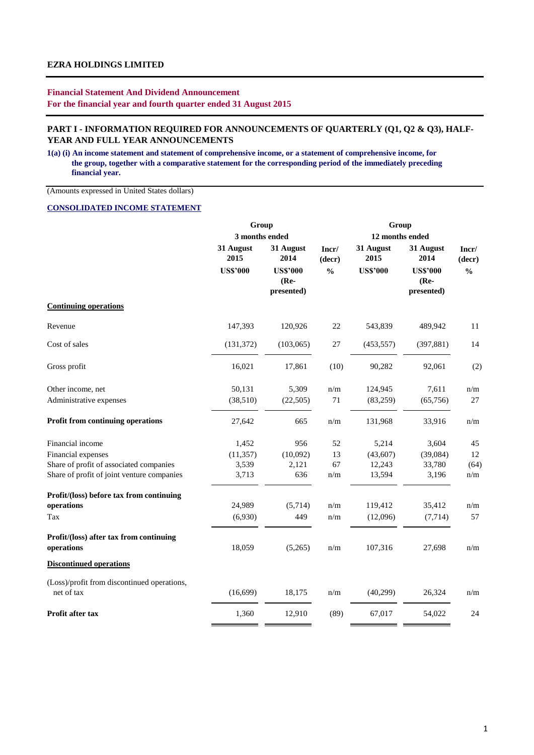## **Financial Statement And Dividend Announcement For the financial year and fourth quarter ended 31 August 2015**

# **PART I - INFORMATION REQUIRED FOR ANNOUNCEMENTS OF QUARTERLY (Q1, Q2 & Q3), HALF-YEAR AND FULL YEAR ANNOUNCEMENTS**

**1(a) (i) An income statement and statement of comprehensive income, or a statement of comprehensive income, for the group, together with a comparative statement for the corresponding period of the immediately preceding financial year.**

(Amounts expressed in United States dollars)

#### **CONSOLIDATED INCOME STATEMENT**

|                                                           | Group             |                                       |                 | Group<br>12 months ended |                                       |                 |  |  |
|-----------------------------------------------------------|-------------------|---------------------------------------|-----------------|--------------------------|---------------------------------------|-----------------|--|--|
|                                                           | 3 months ended    |                                       |                 |                          |                                       |                 |  |  |
|                                                           | 31 August<br>2015 | 31 August<br>2014                     | Incr/<br>(decr) | 31 August<br>2015        | 31 August<br>2014                     | Incr/<br>(decr) |  |  |
|                                                           | <b>US\$'000</b>   | <b>US\$'000</b><br>(Re-<br>presented) | $\frac{0}{0}$   | <b>US\$'000</b>          | <b>US\$'000</b><br>(Re-<br>presented) | $\frac{0}{0}$   |  |  |
| <b>Continuing operations</b>                              |                   |                                       |                 |                          |                                       |                 |  |  |
| Revenue                                                   | 147,393           | 120,926                               | $22\,$          | 543,839                  | 489,942                               | 11              |  |  |
| Cost of sales                                             | (131, 372)        | (103,065)                             | 27              | (453, 557)               | (397, 881)                            | 14              |  |  |
| Gross profit                                              | 16,021            | 17,861                                | (10)            | 90,282                   | 92,061                                | (2)             |  |  |
| Other income, net                                         | 50,131            | 5,309                                 | n/m             | 124,945                  | 7,611                                 | n/m             |  |  |
| Administrative expenses                                   | (38,510)          | (22, 505)                             | 71              | (83,259)                 | (65,756)                              | 27              |  |  |
| <b>Profit from continuing operations</b>                  | 27,642            | 665                                   | n/m             | 131,968                  | 33,916                                | n/m             |  |  |
| Financial income                                          | 1,452             | 956                                   | 52              | 5,214                    | 3,604                                 | 45              |  |  |
| Financial expenses                                        | (11, 357)         | (10,092)                              | 13              | (43,607)                 | (39,084)                              | 12              |  |  |
| Share of profit of associated companies                   | 3,539             | 2,121                                 | 67              | 12,243                   | 33,780                                | (64)            |  |  |
| Share of profit of joint venture companies                | 3,713             | 636                                   | n/m             | 13,594                   | 3,196                                 | n/m             |  |  |
| Profit/(loss) before tax from continuing                  |                   |                                       |                 |                          |                                       |                 |  |  |
| operations                                                | 24,989            | (5,714)                               | n/m             | 119,412                  | 35,412                                | n/m             |  |  |
| Tax                                                       | (6,930)           | 449                                   | n/m             | (12,096)                 | (7, 714)                              | 57              |  |  |
| Profit/(loss) after tax from continuing<br>operations     | 18,059            | (5,265)                               | n/m             | 107,316                  | 27,698                                | n/m             |  |  |
| <b>Discontinued operations</b>                            |                   |                                       |                 |                          |                                       |                 |  |  |
| (Loss)/profit from discontinued operations,<br>net of tax | (16,699)          | 18,175                                | n/m             | (40,299)                 | 26,324                                | n/m             |  |  |
| Profit after tax                                          | 1,360             | 12,910                                | (89)            | 67,017                   | 54,022                                | 24              |  |  |
|                                                           |                   |                                       |                 |                          |                                       |                 |  |  |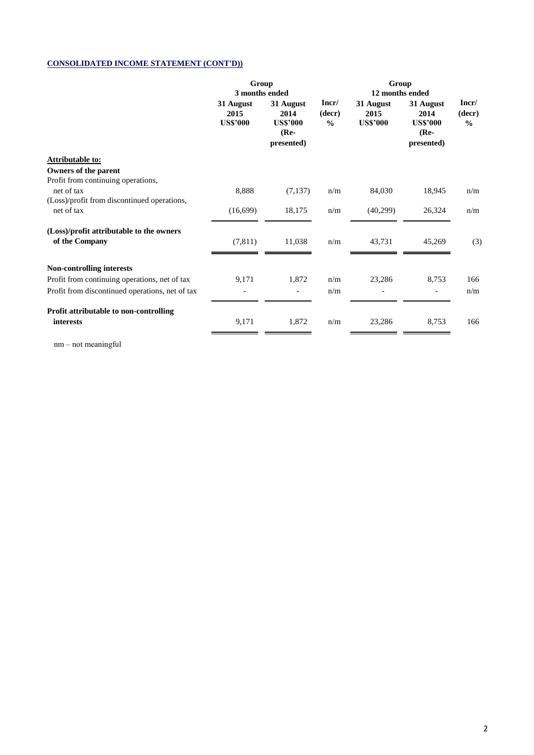# **CONSOLIDATED INCOME STATEMENT (CONT'D))**

| Incr/<br>(decr)<br>$\frac{0}{0}$                           |
|------------------------------------------------------------|
|                                                            |
|                                                            |
|                                                            |
| n/m                                                        |
| n/m                                                        |
|                                                            |
| (3)                                                        |
|                                                            |
| 166                                                        |
| n/m                                                        |
|                                                            |
| 166                                                        |
| presented)<br>18,945<br>26,324<br>45,269<br>8,753<br>8,753 |

nm – not meaningful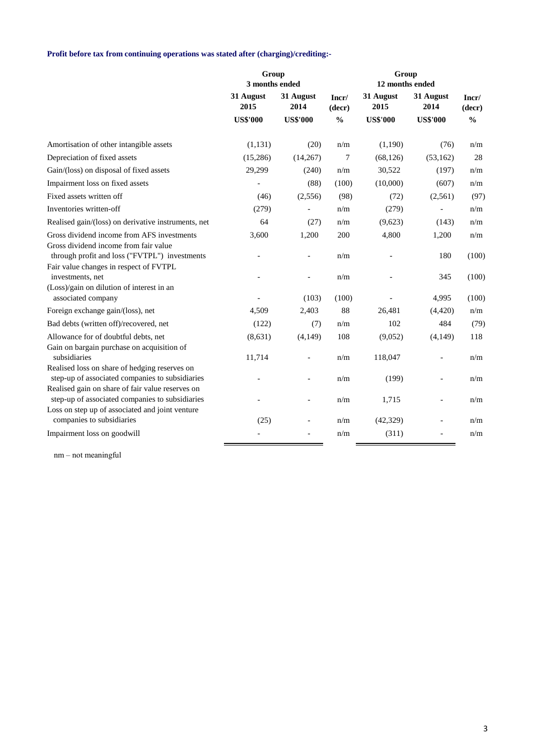# **Profit before tax from continuing operations was stated after (charging)/crediting:-**

|                                                                                                     | Group<br>3 months ended |                          |                 | Group<br>12 months ended |                          |                 |
|-----------------------------------------------------------------------------------------------------|-------------------------|--------------------------|-----------------|--------------------------|--------------------------|-----------------|
|                                                                                                     | 31 August<br>2015       | 31 August<br>2014        | Incr/<br>(decr) | 31 August<br>2015        | 31 August<br>2014        | Incr/<br>(decr) |
|                                                                                                     | <b>US\$'000</b>         | <b>US\$'000</b>          | $\frac{0}{0}$   | <b>US\$'000</b>          | <b>US\$'000</b>          | $\frac{0}{0}$   |
| Amortisation of other intangible assets                                                             | (1,131)                 | (20)                     | n/m             | (1,190)                  | (76)                     | n/m             |
| Depreciation of fixed assets                                                                        | (15, 286)               | (14,267)                 | 7               | (68, 126)                | (53, 162)                | 28              |
| Gain/(loss) on disposal of fixed assets                                                             | 29,299                  | (240)                    | n/m             | 30,522                   | (197)                    | n/m             |
| Impairment loss on fixed assets                                                                     |                         | (88)                     | (100)           | (10,000)                 | (607)                    | n/m             |
| Fixed assets written off                                                                            | (46)                    | (2,556)                  | (98)            | (72)                     | (2,561)                  | (97)            |
| Inventories written-off                                                                             | (279)                   |                          | n/m             | (279)                    |                          | n/m             |
| Realised gain/(loss) on derivative instruments, net                                                 | 64                      | (27)                     | n/m             | (9,623)                  | (143)                    | n/m             |
| Gross dividend income from AFS investments<br>Gross dividend income from fair value                 | 3,600                   | 1,200                    | 200             | 4,800                    | 1,200                    | n/m             |
| through profit and loss ("FVTPL") investments<br>Fair value changes in respect of FVTPL             |                         | $\overline{\phantom{a}}$ | n/m             |                          | 180                      | (100)           |
| investments, net<br>(Loss)/gain on dilution of interest in an<br>associated company                 |                         | $\overline{a}$<br>(103)  | n/m<br>(100)    |                          | 345<br>4,995             | (100)<br>(100)  |
| Foreign exchange gain/(loss), net                                                                   | 4,509                   | 2,403                    | 88              | 26,481                   | (4,420)                  | n/m             |
| Bad debts (written off)/recovered, net                                                              | (122)                   | (7)                      | n/m             | 102                      | 484                      | (79)            |
| Allowance for of doubtful debts, net<br>Gain on bargain purchase on acquisition of                  | (8, 631)                | (4,149)                  | 108             | (9,052)                  | (4,149)                  | 118             |
| subsidiaries<br>Realised loss on share of hedging reserves on                                       | 11,714                  |                          | n/m             | 118,047                  | $\overline{a}$           | n/m             |
| step-up of associated companies to subsidiaries<br>Realised gain on share of fair value reserves on |                         |                          | n/m             | (199)                    | $\overline{\phantom{a}}$ | n/m             |
| step-up of associated companies to subsidiaries<br>Loss on step up of associated and joint venture  |                         |                          | n/m             | 1,715                    |                          | n/m             |
| companies to subsidiaries                                                                           | (25)                    |                          | n/m             | (42, 329)                |                          | n/m             |
| Impairment loss on goodwill                                                                         |                         |                          | n/m             | (311)                    |                          | n/m             |

nm – not meaningful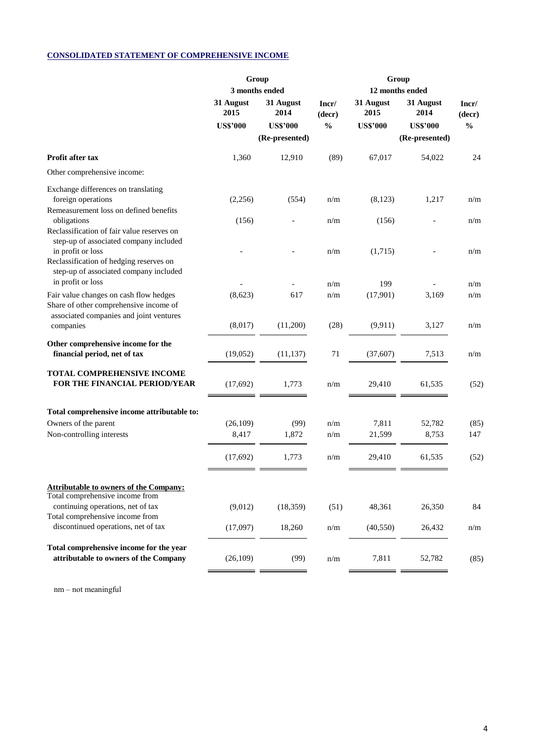# **CONSOLIDATED STATEMENT OF COMPREHENSIVE INCOME**

|                                                                                                                                                  |                   | Group             |                 |                   |                   |                 |  |
|--------------------------------------------------------------------------------------------------------------------------------------------------|-------------------|-------------------|-----------------|-------------------|-------------------|-----------------|--|
|                                                                                                                                                  | 3 months ended    |                   |                 | 12 months ended   |                   |                 |  |
|                                                                                                                                                  | 31 August<br>2015 | 31 August<br>2014 | Incr/<br>(decr) | 31 August<br>2015 | 31 August<br>2014 | Incr/<br>(decr) |  |
|                                                                                                                                                  | <b>US\$'000</b>   | <b>US\$'000</b>   | $\frac{0}{0}$   | <b>US\$'000</b>   | <b>US\$'000</b>   | $\frac{0}{0}$   |  |
|                                                                                                                                                  |                   | (Re-presented)    |                 |                   | (Re-presented)    |                 |  |
| Profit after tax                                                                                                                                 | 1,360             | 12,910            | (89)            | 67,017            | 54,022            | 24              |  |
| Other comprehensive income:                                                                                                                      |                   |                   |                 |                   |                   |                 |  |
| Exchange differences on translating<br>foreign operations<br>Remeasurement loss on defined benefits                                              | (2,256)           | (554)             | n/m             | (8,123)           | 1,217             | n/m             |  |
| obligations<br>Reclassification of fair value reserves on                                                                                        | (156)             |                   | n/m             | (156)             |                   | n/m             |  |
| step-up of associated company included<br>in profit or loss<br>Reclassification of hedging reserves on<br>step-up of associated company included |                   |                   | n/m             | (1,715)           |                   | n/m             |  |
| in profit or loss                                                                                                                                |                   |                   | n/m             | 199               |                   | n/m             |  |
| Fair value changes on cash flow hedges<br>Share of other comprehensive income of                                                                 | (8,623)           | 617               | n/m             | (17,901)          | 3,169             | n/m             |  |
| associated companies and joint ventures<br>companies                                                                                             | (8,017)           | (11,200)          | (28)            | (9, 911)          | 3,127             | n/m             |  |
| Other comprehensive income for the<br>financial period, net of tax                                                                               | (19,052)          | (11, 137)         | 71              | (37, 607)         | 7,513             | n/m             |  |
| TOTAL COMPREHENSIVE INCOME<br>FOR THE FINANCIAL PERIOD/YEAR                                                                                      | (17, 692)         | 1,773             | n/m             | 29,410            | 61,535            | (52)            |  |
| Total comprehensive income attributable to:                                                                                                      |                   |                   |                 |                   |                   |                 |  |
| Owners of the parent                                                                                                                             | (26, 109)         | (99)              | n/m             | 7,811             | 52,782            | (85)            |  |
| Non-controlling interests                                                                                                                        | 8,417             | 1,872             | n/m             | 21,599            | 8,753             | 147             |  |
|                                                                                                                                                  | (17, 692)         | 1,773             | n/m             | 29,410            | 61,535            | (52)            |  |
| <b>Attributable to owners of the Company:</b><br>Total comprehensive income from                                                                 |                   |                   |                 |                   |                   |                 |  |
| continuing operations, net of tax<br>Total comprehensive income from                                                                             | (9,012)           | (18, 359)         | (51)            | 48,361            | 26,350            | 84              |  |
| discontinued operations, net of tax                                                                                                              | (17,097)          | 18,260            | n/m             | (40, 550)         | 26,432            | n/m             |  |
| Total comprehensive income for the year<br>attributable to owners of the Company                                                                 | (26, 109)         | (99)              | n/m             | 7,811             | 52,782            | (85)            |  |
|                                                                                                                                                  |                   |                   |                 |                   |                   |                 |  |

nm – not meaningful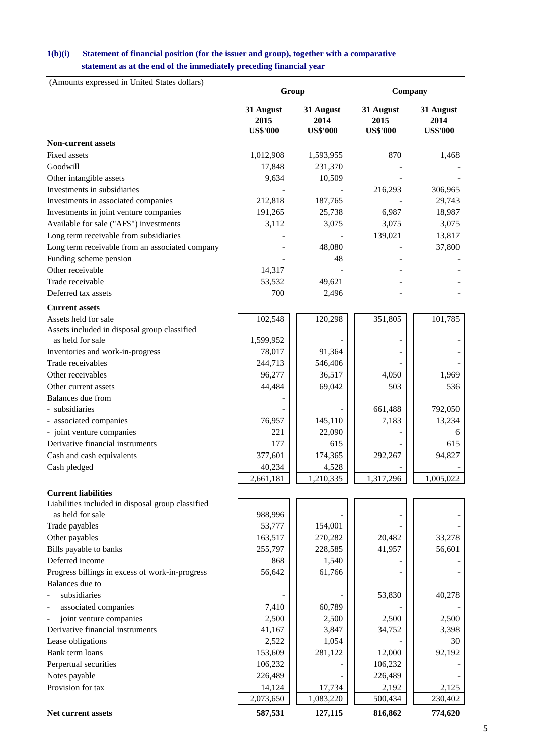# **statement as at the end of the immediately preceding financial year 1(b)(i) Statement of financial position (for the issuer and group), together with a comparative**

| (Amounts expressed in United States dollars)      |                   | Group             | Company           |                   |  |
|---------------------------------------------------|-------------------|-------------------|-------------------|-------------------|--|
|                                                   | 31 August<br>2015 | 31 August<br>2014 | 31 August<br>2015 | 31 August<br>2014 |  |
|                                                   | <b>US\$'000</b>   | <b>US\$'000</b>   | <b>US\$'000</b>   | <b>US\$'000</b>   |  |
| <b>Non-current assets</b>                         |                   |                   |                   |                   |  |
| <b>Fixed assets</b>                               | 1,012,908         | 1,593,955         | 870               | 1,468             |  |
| Goodwill                                          | 17,848            | 231,370           |                   |                   |  |
| Other intangible assets                           | 9,634             | 10,509            |                   |                   |  |
| Investments in subsidiaries                       |                   |                   | 216,293           | 306,965           |  |
| Investments in associated companies               | 212,818           | 187,765           |                   | 29,743            |  |
| Investments in joint venture companies            | 191,265           | 25,738            | 6,987             | 18,987            |  |
| Available for sale ("AFS") investments            | 3,112             | 3,075             | 3,075             | 3,075             |  |
| Long term receivable from subsidiaries            |                   |                   | 139,021           | 13,817            |  |
| Long term receivable from an associated company   |                   | 48,080            |                   | 37,800            |  |
| Funding scheme pension                            |                   | 48                |                   |                   |  |
| Other receivable                                  | 14,317            |                   |                   |                   |  |
| Trade receivable                                  | 53,532            | 49,621            |                   |                   |  |
| Deferred tax assets                               | 700               | 2,496             |                   |                   |  |
| <b>Current assets</b>                             |                   |                   |                   |                   |  |
| Assets held for sale                              | 102,548           | 120,298           | 351,805           | 101,785           |  |
| Assets included in disposal group classified      |                   |                   |                   |                   |  |
| as held for sale                                  | 1,599,952         |                   |                   |                   |  |
| Inventories and work-in-progress                  | 78,017            | 91,364            |                   |                   |  |
| Trade receivables                                 | 244,713           | 546,406           |                   |                   |  |
| Other receivables                                 | 96,277            | 36,517            | 4,050             | 1,969             |  |
| Other current assets                              | 44,484            | 69,042            | 503               | 536               |  |
| Balances due from                                 |                   |                   |                   |                   |  |
| - subsidiaries                                    |                   |                   | 661,488           | 792,050           |  |
| - associated companies                            | 76,957            | 145,110           | 7,183             | 13,234            |  |
| - joint venture companies                         | 221               | 22,090            |                   | 6                 |  |
| Derivative financial instruments                  | 177               | 615               |                   | 615               |  |
| Cash and cash equivalents                         | 377,601           | 174,365           | 292,267           | 94,827            |  |
| Cash pledged                                      | 40,234            | 4,528             |                   |                   |  |
|                                                   | 2,661,181         | 1,210,335         | 1,317,296         | 1,005,022         |  |
| <b>Current liabilities</b>                        |                   |                   |                   |                   |  |
| Liabilities included in disposal group classified |                   |                   |                   |                   |  |
| as held for sale                                  | 988,996           |                   |                   |                   |  |
| Trade payables                                    | 53,777            | 154,001           |                   |                   |  |
| Other payables                                    | 163,517           | 270,282           | 20,482            | 33,278            |  |
| Bills payable to banks                            | 255,797           | 228,585           | 41,957            | 56,601            |  |
| Deferred income                                   | 868               | 1,540             |                   |                   |  |
| Progress billings in excess of work-in-progress   | 56,642            | 61,766            |                   |                   |  |
| Balances due to                                   |                   |                   |                   |                   |  |
| subsidiaries                                      |                   |                   | 53,830            | 40,278            |  |
| associated companies<br>$\frac{1}{2}$             | 7,410             | 60,789            |                   |                   |  |
| joint venture companies                           | 2,500             | 2,500             | 2,500             | 2,500             |  |
| Derivative financial instruments                  | 41,167            | 3,847             | 34,752            | 3,398             |  |
| Lease obligations                                 | 2,522             | 1,054             |                   | 30                |  |
| Bank term loans                                   | 153,609           | 281,122           | 12,000            | 92,192            |  |
| Perpertual securities                             | 106,232           |                   | 106,232           |                   |  |
| Notes payable                                     | 226,489           |                   | 226,489           |                   |  |
| Provision for tax                                 | 14,124            | 17,734            | 2,192             | 2,125             |  |
|                                                   | 2,073,650         | 1,083,220         | 500,434           | 230,402           |  |
| Net current assets                                | 587,531           | 127,115           | 816,862           | 774,620           |  |

5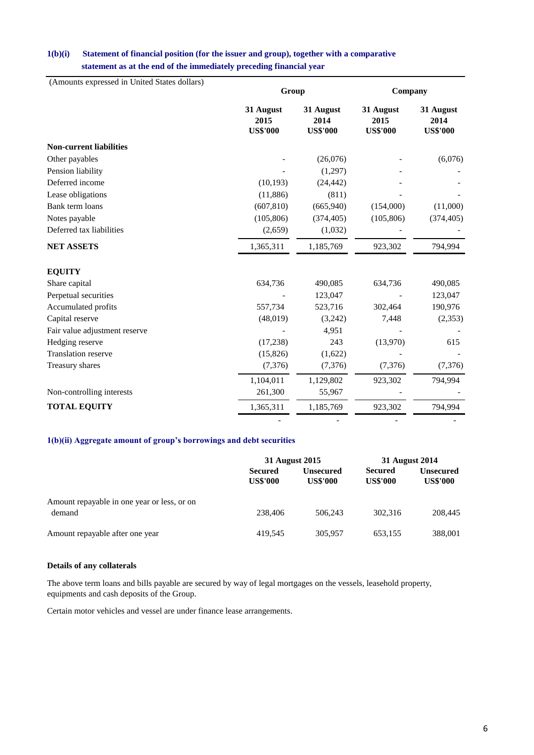# **statement as at the end of the immediately preceding financial year 1(b)(i) Statement of financial position (for the issuer and group), together with a comparative**

| (Amounts expressed in United States dollars) |                                      |                                      |                                      |                                      |  |
|----------------------------------------------|--------------------------------------|--------------------------------------|--------------------------------------|--------------------------------------|--|
|                                              | Group                                |                                      | Company                              |                                      |  |
|                                              | 31 August<br>2015<br><b>US\$'000</b> | 31 August<br>2014<br><b>US\$'000</b> | 31 August<br>2015<br><b>US\$'000</b> | 31 August<br>2014<br><b>US\$'000</b> |  |
| <b>Non-current liabilities</b>               |                                      |                                      |                                      |                                      |  |
| Other payables                               |                                      | (26,076)                             |                                      | (6,076)                              |  |
| Pension liability                            |                                      | (1,297)                              |                                      |                                      |  |
| Deferred income                              | (10, 193)                            | (24, 442)                            |                                      |                                      |  |
| Lease obligations                            | (11,886)                             | (811)                                |                                      |                                      |  |
| Bank term loans                              | (607, 810)                           | (665, 940)                           | (154,000)                            | (11,000)                             |  |
| Notes payable                                | (105, 806)                           | (374, 405)                           | (105, 806)                           | (374, 405)                           |  |
| Deferred tax liabilities                     | (2,659)                              | (1,032)                              |                                      |                                      |  |
| <b>NET ASSETS</b>                            | 1,365,311                            | 1,185,769                            | 923,302                              | 794,994                              |  |
| <b>EQUITY</b>                                |                                      |                                      |                                      |                                      |  |
| Share capital                                | 634,736                              | 490,085                              | 634,736                              | 490,085                              |  |
| Perpetual securities                         |                                      | 123,047                              |                                      | 123,047                              |  |
| Accumulated profits                          | 557,734                              | 523,716                              | 302,464                              | 190,976                              |  |
| Capital reserve                              | (48,019)                             | (3,242)                              | 7,448                                | (2, 353)                             |  |
| Fair value adjustment reserve                |                                      | 4,951                                |                                      |                                      |  |
| Hedging reserve                              | (17, 238)                            | 243                                  | (13,970)                             | 615                                  |  |
| <b>Translation reserve</b>                   | (15, 826)                            | (1,622)                              |                                      |                                      |  |
| Treasury shares                              | (7, 376)                             | (7, 376)                             | (7,376)                              | (7, 376)                             |  |
|                                              | 1,104,011                            | 1,129,802                            | 923,302                              | 794,994                              |  |
| Non-controlling interests                    | 261,300                              | 55,967                               |                                      |                                      |  |
| <b>TOTAL EQUITY</b>                          | 1,365,311                            | 1,185,769                            | 923,302                              | 794,994                              |  |
|                                              |                                      |                                      |                                      |                                      |  |

# **1(b)(ii) Aggregate amount of group's borrowings and debt securities**

|                                                       | 31 August 2015             |                                     | 31 August 2014                    |                                     |  |
|-------------------------------------------------------|----------------------------|-------------------------------------|-----------------------------------|-------------------------------------|--|
|                                                       | Secured<br><b>US\$'000</b> | <b>Unsecured</b><br><b>US\$'000</b> | <b>Secured</b><br><b>US\$'000</b> | <b>Unsecured</b><br><b>US\$'000</b> |  |
| Amount repayable in one year or less, or on<br>demand | 238,406                    | 506.243                             | 302.316                           | 208,445                             |  |
| Amount repayable after one year                       | 419,545                    | 305,957                             | 653.155                           | 388,001                             |  |

# **Details of any collaterals**

equipments and cash deposits of the Group. The above term loans and bills payable are secured by way of legal mortgages on the vessels, leasehold property,

Certain motor vehicles and vessel are under finance lease arrangements.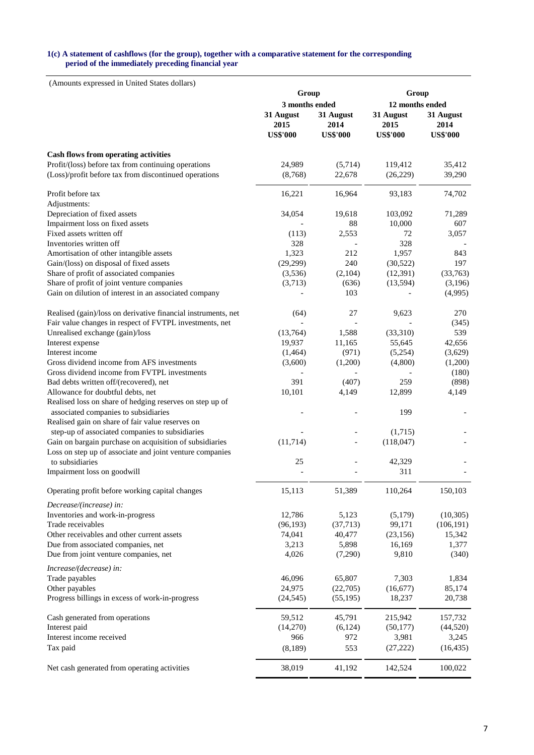#### **1(c) A statement of cashflows (for the group), together with a comparative statement for the corresponding period of the immediately preceding financial year**

|                                                               | Group                                                  |                                      | Group<br>12 months ended             |                                      |  |  |
|---------------------------------------------------------------|--------------------------------------------------------|--------------------------------------|--------------------------------------|--------------------------------------|--|--|
|                                                               | 3 months ended<br>31 August<br>2015<br><b>US\$'000</b> | 31 August<br>2014<br><b>US\$'000</b> | 31 August<br>2015<br><b>US\$'000</b> | 31 August<br>2014<br><b>US\$'000</b> |  |  |
| <b>Cash flows from operating activities</b>                   |                                                        |                                      |                                      |                                      |  |  |
| Profit/(loss) before tax from continuing operations           | 24,989                                                 | (5,714)                              | 119,412                              | 35,412                               |  |  |
| (Loss)/profit before tax from discontinued operations         | (8,768)                                                | 22,678                               | (26, 229)                            | 39,290                               |  |  |
| Profit before tax                                             | 16,221                                                 | 16,964                               | 93,183                               | 74,702                               |  |  |
| Adjustments:                                                  |                                                        |                                      |                                      |                                      |  |  |
| Depreciation of fixed assets                                  | 34,054                                                 | 19,618                               | 103,092                              | 71,289                               |  |  |
| Impairment loss on fixed assets                               |                                                        | 88                                   | 10,000                               | 607                                  |  |  |
| Fixed assets written off                                      | (113)                                                  | 2,553                                | 72                                   | 3,057                                |  |  |
| Inventories written off                                       | 328                                                    |                                      | 328                                  |                                      |  |  |
| Amortisation of other intangible assets                       | 1,323                                                  | 212                                  | 1,957                                | 843                                  |  |  |
| Gain/(loss) on disposal of fixed assets                       | (29, 299)                                              | 240                                  | (30,522)                             | 197                                  |  |  |
| Share of profit of associated companies                       | (3,536)                                                | (2,104)                              | (12, 391)                            | (33,763)                             |  |  |
| Share of profit of joint venture companies                    | (3,713)                                                | (636)                                | (13, 594)                            | (3,196)                              |  |  |
| Gain on dilution of interest in an associated company         |                                                        | 103                                  |                                      | (4,995)                              |  |  |
| Realised (gain)/loss on derivative financial instruments, net | (64)                                                   | 27                                   | 9,623                                | 270                                  |  |  |
| Fair value changes in respect of FVTPL investments, net       | $\overline{a}$                                         |                                      |                                      | (345)                                |  |  |
| Unrealised exchange (gain)/loss                               | (13,764)                                               | 1,588                                | (33,310)                             | 539                                  |  |  |
| Interest expense                                              | 19,937                                                 | 11,165                               | 55,645                               | 42,656                               |  |  |
| Interest income                                               | (1,464)                                                | (971)                                | (5,254)                              | (3,629)                              |  |  |
| Gross dividend income from AFS investments                    | (3,600)                                                | (1,200)                              | (4,800)                              | (1,200)                              |  |  |
| Gross dividend income from FVTPL investments                  |                                                        |                                      |                                      | (180)                                |  |  |
| Bad debts written off/(recovered), net                        | 391                                                    | (407)                                | 259                                  | (898)                                |  |  |
| Allowance for doubtful debts, net                             | 10,101                                                 | 4,149                                | 12,899                               | 4,149                                |  |  |
| Realised loss on share of hedging reserves on step up of      |                                                        |                                      |                                      |                                      |  |  |
| associated companies to subsidiaries                          |                                                        |                                      | 199                                  |                                      |  |  |
| Realised gain on share of fair value reserves on              |                                                        |                                      |                                      |                                      |  |  |
| step-up of associated companies to subsidiaries               |                                                        |                                      | (1,715)                              |                                      |  |  |
| Gain on bargain purchase on acquisition of subsidiaries       | (11,714)                                               |                                      | (118, 047)                           |                                      |  |  |
| Loss on step up of associate and joint venture companies      |                                                        |                                      |                                      |                                      |  |  |
| to subsidiaries                                               | 25                                                     |                                      | 42,329                               |                                      |  |  |
| Impairment loss on goodwill                                   |                                                        |                                      | 311                                  |                                      |  |  |
| Operating profit before working capital changes               | 15,113                                                 | 51,389                               | 110,264                              | 150,103                              |  |  |
| Decrease/(increase) in:                                       |                                                        |                                      |                                      |                                      |  |  |
| Inventories and work-in-progress                              | 12,786                                                 | 5,123                                | (5,179)                              | (10, 305)                            |  |  |
| Trade receivables                                             | (96, 193)                                              | (37,713)                             | 99,171                               | (106, 191)                           |  |  |
| Other receivables and other current assets                    | 74,041                                                 | 40,477                               | (23, 156)                            | 15,342                               |  |  |
| Due from associated companies, net                            | 3,213                                                  | 5,898                                | 16,169                               | 1,377                                |  |  |
| Due from joint venture companies, net                         | 4,026                                                  | (7,290)                              | 9,810                                | (340)                                |  |  |
| Increase/(decrease) in:                                       |                                                        |                                      |                                      |                                      |  |  |
| Trade payables                                                | 46,096                                                 | 65,807                               | 7,303                                | 1,834                                |  |  |
| Other payables                                                | 24,975                                                 | (22,705)                             | (16, 677)                            | 85,174                               |  |  |
| Progress billings in excess of work-in-progress               | (24, 545)                                              | (55, 195)                            | 18,237                               | 20,738                               |  |  |
| Cash generated from operations                                | 59,512                                                 | 45,791                               | 215,942                              | 157,732                              |  |  |
| Interest paid                                                 | (14,270)                                               | (6, 124)                             | (50, 177)                            | (44,520)                             |  |  |
| Interest income received                                      | 966                                                    | 972                                  | 3,981                                | 3,245                                |  |  |
| Tax paid                                                      | (8,189)                                                | 553                                  | (27, 222)                            | (16, 435)                            |  |  |
| Net cash generated from operating activities                  | 38,019                                                 | 41,192                               | 142,524                              | 100,022                              |  |  |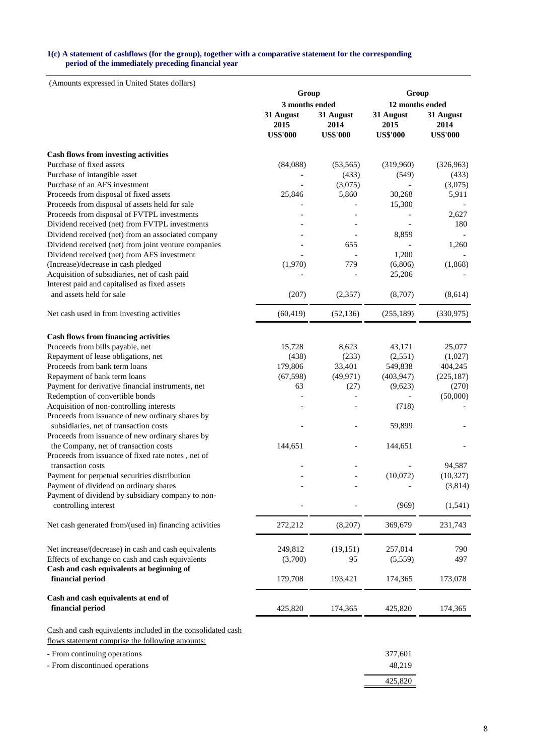#### **1(c) A statement of cashflows (for the group), together with a comparative statement for the corresponding period of the immediately preceding financial year**

| (Trinounts expressed in Officer Blaces domais)              | Group             |                   | Group             |                   |  |  |
|-------------------------------------------------------------|-------------------|-------------------|-------------------|-------------------|--|--|
|                                                             | 3 months ended    |                   | 12 months ended   |                   |  |  |
|                                                             | 31 August<br>2015 | 31 August<br>2014 | 31 August<br>2015 | 31 August<br>2014 |  |  |
|                                                             | <b>US\$'000</b>   | <b>US\$'000</b>   | <b>US\$'000</b>   | <b>US\$'000</b>   |  |  |
| <b>Cash flows from investing activities</b>                 |                   |                   |                   |                   |  |  |
| Purchase of fixed assets                                    | (84,088)          | (53, 565)         | (319,960)         | (326,963)         |  |  |
| Purchase of intangible asset                                |                   | (433)             | (549)             | (433)             |  |  |
| Purchase of an AFS investment                               |                   | (3,075)           |                   | (3,075)           |  |  |
| Proceeds from disposal of fixed assets                      | 25,846            | 5,860             | 30,268            | 5,911             |  |  |
| Proceeds from disposal of assets held for sale              |                   |                   | 15,300            |                   |  |  |
| Proceeds from disposal of FVTPL investments                 |                   |                   |                   | 2,627             |  |  |
| Dividend received (net) from FVTPL investments              |                   |                   |                   | 180               |  |  |
| Dividend received (net) from an associated company          |                   |                   | 8,859             |                   |  |  |
| Dividend received (net) from joint venture companies        |                   | 655               |                   | 1,260             |  |  |
| Dividend received (net) from AFS investment                 |                   |                   | 1,200             |                   |  |  |
| (Increase)/decrease in cash pledged                         | (1,970)           | 779               | (6,806)           | (1, 868)          |  |  |
| Acquisition of subsidiaries, net of cash paid               |                   |                   | 25,206            |                   |  |  |
| Interest paid and capitalised as fixed assets               |                   |                   |                   |                   |  |  |
| and assets held for sale                                    | (207)             | (2,357)           | (8,707)           | (8,614)           |  |  |
| Net cash used in from investing activities                  | (60, 419)         | (52, 136)         | (255, 189)        | (330, 975)        |  |  |
| <b>Cash flows from financing activities</b>                 |                   |                   |                   |                   |  |  |
| Proceeds from bills payable, net                            | 15,728            | 8,623             | 43,171            | 25,077            |  |  |
| Repayment of lease obligations, net                         | (438)             | (233)             | (2,551)           | (1,027)           |  |  |
| Proceeds from bank term loans                               | 179,806           | 33,401            | 549,838           | 404,245           |  |  |
| Repayment of bank term loans                                | (67, 598)         | (49, 971)         | (403, 947)        | (225, 187)        |  |  |
| Payment for derivative financial instruments, net           | 63                | (27)              | (9,623)           | (270)             |  |  |
| Redemption of convertible bonds                             |                   |                   |                   | (50,000)          |  |  |
| Acquisition of non-controlling interests                    |                   |                   | (718)             |                   |  |  |
| Proceeds from issuance of new ordinary shares by            |                   |                   |                   |                   |  |  |
| subsidiaries, net of transaction costs                      |                   |                   | 59,899            |                   |  |  |
| Proceeds from issuance of new ordinary shares by            |                   |                   |                   |                   |  |  |
| the Company, net of transaction costs                       | 144,651           |                   | 144,651           |                   |  |  |
| Proceeds from issuance of fixed rate notes, net of          |                   |                   |                   |                   |  |  |
| transaction costs                                           |                   |                   |                   | 94,587            |  |  |
| Payment for perpetual securities distribution               |                   |                   | (10,072)          | (10, 327)         |  |  |
| Payment of dividend on ordinary shares                      |                   |                   |                   | (3,814)           |  |  |
| Payment of dividend by subsidiary company to non-           |                   |                   |                   |                   |  |  |
| controlling interest                                        |                   |                   | (969)             | (1, 541)          |  |  |
| Net cash generated from/(used in) financing activities      | 272,212           | (8,207)           | 369,679           | 231,743           |  |  |
| Net increase/(decrease) in cash and cash equivalents        | 249,812           | (19, 151)         | 257,014           | 790               |  |  |
| Effects of exchange on cash and cash equivalents            | (3,700)           | 95                | (5,559)           | 497               |  |  |
| Cash and cash equivalents at beginning of                   |                   |                   |                   |                   |  |  |
| financial period                                            | 179,708           | 193,421           | 174,365           | 173,078           |  |  |
| Cash and cash equivalents at end of                         |                   |                   |                   |                   |  |  |
| financial period                                            | 425,820           | 174,365           | 425,820           | 174,365           |  |  |
| Cash and cash equivalents included in the consolidated cash |                   |                   |                   |                   |  |  |
| flows statement comprise the following amounts:             |                   |                   |                   |                   |  |  |
| - From continuing operations                                |                   |                   | 377,601           |                   |  |  |
| - From discontinued operations                              |                   |                   | 48,219            |                   |  |  |
|                                                             |                   |                   |                   |                   |  |  |
|                                                             |                   |                   | 425,820           |                   |  |  |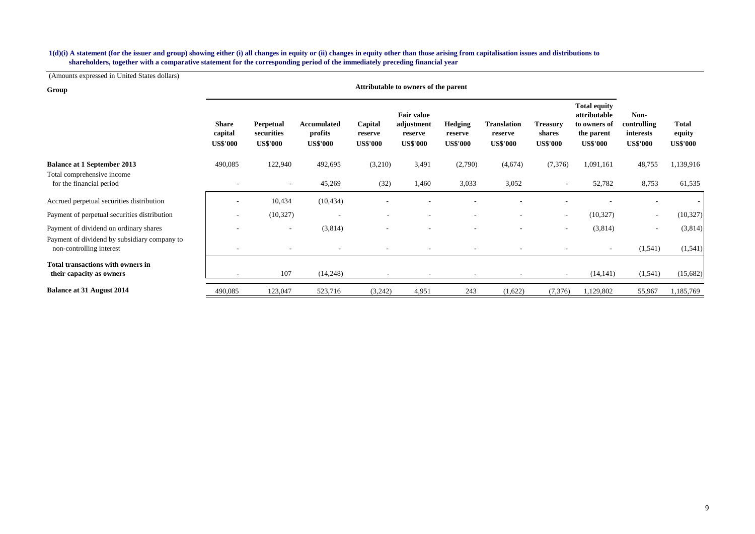#### **shareholders, together with a comparative statement for the corresponding period of the immediately preceding financial year 1(d)(i) A statement (for the issuer and group) showing either (i) all changes in equity or (ii) changes in equity other than those arising from capitalisation issues and distributions to**

| Group                                                                    |                                            |                                            |                                           |                                       | Attributable to owners of the parent                          |                                              |                                                  |                                              |                                                                                      |                                                     |                                           |
|--------------------------------------------------------------------------|--------------------------------------------|--------------------------------------------|-------------------------------------------|---------------------------------------|---------------------------------------------------------------|----------------------------------------------|--------------------------------------------------|----------------------------------------------|--------------------------------------------------------------------------------------|-----------------------------------------------------|-------------------------------------------|
|                                                                          | <b>Share</b><br>capital<br><b>US\$'000</b> | Perpetual<br>securities<br><b>US\$'000</b> | Accumulated<br>profits<br><b>US\$'000</b> | Capital<br>reserve<br><b>US\$'000</b> | <b>Fair value</b><br>adjustment<br>reserve<br><b>US\$'000</b> | <b>Hedging</b><br>reserve<br><b>US\$'000</b> | <b>Translation</b><br>reserve<br><b>US\$'000</b> | <b>Treasury</b><br>shares<br><b>US\$'000</b> | <b>Total equity</b><br>attributable<br>to owners of<br>the parent<br><b>US\$'000</b> | Non-<br>controlling<br>interests<br><b>US\$'000</b> | <b>Total</b><br>equity<br><b>US\$'000</b> |
| <b>Balance at 1 September 2013</b>                                       | 490,085                                    | 122,940                                    | 492,695                                   | (3,210)                               | 3,491                                                         | (2,790)                                      | (4,674)                                          | (7,376)                                      | 1,091,161                                                                            | 48,755                                              | 1,139,916                                 |
| Total comprehensive income<br>for the financial period                   |                                            |                                            | 45,269                                    | (32)                                  | 1,460                                                         | 3,033                                        | 3,052                                            | ٠                                            | 52,782                                                                               | 8,753                                               | 61,535                                    |
| Accrued perpetual securities distribution                                |                                            | 10,434                                     | (10, 434)                                 |                                       |                                                               |                                              |                                                  |                                              |                                                                                      |                                                     |                                           |
| Payment of perpetual securities distribution                             | $\overline{\phantom{a}}$                   | (10, 327)                                  |                                           |                                       |                                                               | $\overline{\phantom{a}}$                     | ٠                                                | $\overline{\phantom{a}}$                     | (10, 327)                                                                            | $\sim$                                              | (10, 327)                                 |
| Payment of dividend on ordinary shares                                   |                                            | $\sim$                                     | (3,814)                                   |                                       |                                                               |                                              | ٠                                                | $\overline{\phantom{a}}$                     | (3,814)                                                                              | $\overline{\phantom{a}}$                            | (3,814)                                   |
| Payment of dividend by subsidiary company to<br>non-controlling interest |                                            |                                            | $\overline{\phantom{a}}$                  |                                       |                                                               |                                              | ۰.                                               | $\overline{\phantom{a}}$                     | $\sim$                                                                               | (1, 541)                                            | (1, 541)                                  |
| Total transactions with owners in<br>their capacity as owners            |                                            | 107                                        | (14,248)                                  |                                       |                                                               |                                              |                                                  |                                              | (14, 141)                                                                            | (1, 541)                                            | (15,682)                                  |
| <b>Balance at 31 August 2014</b>                                         | 490,085                                    | 123,047                                    | 523,716                                   | (3,242)                               | 4,951                                                         | 243                                          | (1,622)                                          | (7,376)                                      | 1,129,802                                                                            | 55,967                                              | 1,185,769                                 |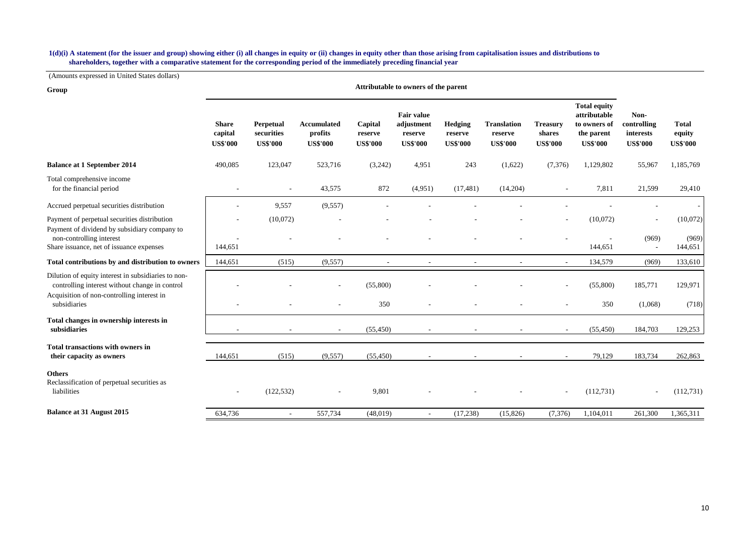#### **shareholders, together with a comparative statement for the corresponding period of the immediately preceding financial year 1(d)(i) A statement (for the issuer and group) showing either (i) all changes in equity or (ii) changes in equity other than those arising from capitalisation issues and distributions to**

| Group                                                                                                                                                               |                                            |                                            |                                                  |                                       | Attributable to owners of the parent                          |                                              |                                                  |                                              |                                                                                      |                                                     |                                           |
|---------------------------------------------------------------------------------------------------------------------------------------------------------------------|--------------------------------------------|--------------------------------------------|--------------------------------------------------|---------------------------------------|---------------------------------------------------------------|----------------------------------------------|--------------------------------------------------|----------------------------------------------|--------------------------------------------------------------------------------------|-----------------------------------------------------|-------------------------------------------|
|                                                                                                                                                                     | <b>Share</b><br>capital<br><b>US\$'000</b> | Perpetual<br>securities<br><b>US\$'000</b> | <b>Accumulated</b><br>profits<br><b>US\$'000</b> | Capital<br>reserve<br><b>US\$'000</b> | <b>Fair value</b><br>adjustment<br>reserve<br><b>US\$'000</b> | <b>Hedging</b><br>reserve<br><b>US\$'000</b> | <b>Translation</b><br>reserve<br><b>US\$'000</b> | <b>Treasury</b><br>shares<br><b>US\$'000</b> | <b>Total equity</b><br>attributable<br>to owners of<br>the parent<br><b>US\$'000</b> | Non-<br>controlling<br>interests<br><b>US\$'000</b> | <b>Total</b><br>equity<br><b>US\$'000</b> |
| <b>Balance at 1 September 2014</b>                                                                                                                                  | 490,085                                    | 123,047                                    | 523,716                                          | (3,242)                               | 4,951                                                         | 243                                          | (1,622)                                          | (7,376)                                      | 1,129,802                                                                            | 55,967                                              | 1,185,769                                 |
| Total comprehensive income<br>for the financial period                                                                                                              |                                            | $\sim$                                     | 43,575                                           | 872                                   | (4,951)                                                       | (17, 481)                                    | (14,204)                                         |                                              | 7,811                                                                                | 21,599                                              | 29,410                                    |
| Accrued perpetual securities distribution                                                                                                                           |                                            | 9,557                                      | (9, 557)                                         |                                       |                                                               |                                              |                                                  |                                              |                                                                                      |                                                     |                                           |
| Payment of perpetual securities distribution                                                                                                                        |                                            | (10,072)                                   |                                                  |                                       |                                                               |                                              |                                                  |                                              | (10,072)                                                                             |                                                     | (10,072)                                  |
| Payment of dividend by subsidiary company to<br>non-controlling interest<br>Share issuance, net of issuance expenses                                                | 144,651                                    |                                            |                                                  |                                       |                                                               |                                              |                                                  |                                              | 144,651                                                                              | (969)<br>$\sim$                                     | (969)<br>144,651                          |
| Total contributions by and distribution to owners                                                                                                                   | 144,651                                    | (515)                                      | (9, 557)                                         |                                       |                                                               |                                              |                                                  |                                              | 134,579                                                                              | (969)                                               | 133,610                                   |
| Dilution of equity interest in subsidiaries to non-<br>controlling interest without change in control<br>Acquisition of non-controlling interest in<br>subsidiaries |                                            |                                            |                                                  | (55,800)<br>350                       |                                                               |                                              |                                                  |                                              | (55,800)<br>350                                                                      | 185,771<br>(1,068)                                  | 129,971<br>(718)                          |
| Total changes in ownership interests in<br>subsidiaries                                                                                                             |                                            |                                            |                                                  | (55, 450)                             |                                                               |                                              |                                                  |                                              | (55, 450)                                                                            | 184,703                                             | 129,253                                   |
| <b>Total transactions with owners in</b><br>their capacity as owners                                                                                                | 144.651                                    | (515)                                      | (9,557)                                          | (55, 450)                             |                                                               |                                              |                                                  |                                              | 79.129                                                                               | 183,734                                             | 262,863                                   |
| <b>Others</b><br>Reclassification of perpetual securities as<br>liabilities                                                                                         |                                            | (122, 532)                                 |                                                  | 9,801                                 |                                                               |                                              |                                                  |                                              | (112, 731)                                                                           |                                                     | (112, 731)                                |
| <b>Balance at 31 August 2015</b>                                                                                                                                    | 634,736                                    | $\sim$                                     | 557,734                                          | (48, 019)                             | $\sim$                                                        | (17, 238)                                    | (15, 826)                                        | (7, 376)                                     | 1,104,011                                                                            | 261,300                                             | 1,365,311                                 |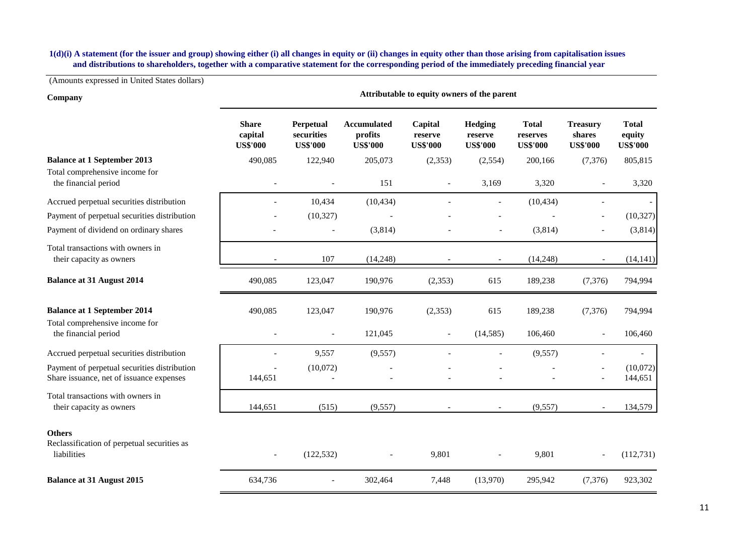| (Amounts expressed in United States dollars)                                                 |                                            |                                                   |                                                  | Attributable to equity owners of the parent |                                              |                                             |                                              |                                           |  |  |  |  |  |  |
|----------------------------------------------------------------------------------------------|--------------------------------------------|---------------------------------------------------|--------------------------------------------------|---------------------------------------------|----------------------------------------------|---------------------------------------------|----------------------------------------------|-------------------------------------------|--|--|--|--|--|--|
| Company                                                                                      |                                            |                                                   |                                                  |                                             |                                              |                                             |                                              |                                           |  |  |  |  |  |  |
|                                                                                              | <b>Share</b><br>capital<br><b>US\$'000</b> | <b>Perpetual</b><br>securities<br><b>US\$'000</b> | <b>Accumulated</b><br>profits<br><b>US\$'000</b> | Capital<br>reserve<br><b>US\$'000</b>       | <b>Hedging</b><br>reserve<br><b>US\$'000</b> | <b>Total</b><br>reserves<br><b>US\$'000</b> | <b>Treasury</b><br>shares<br><b>US\$'000</b> | <b>Total</b><br>equity<br><b>US\$'000</b> |  |  |  |  |  |  |
| <b>Balance at 1 September 2013</b>                                                           | 490,085                                    | 122,940                                           | 205,073                                          | (2, 353)                                    | (2,554)                                      | 200,166                                     | (7,376)                                      | 805,815                                   |  |  |  |  |  |  |
| Total comprehensive income for<br>the financial period                                       |                                            |                                                   | 151                                              | $\overline{a}$                              | 3,169                                        | 3,320                                       |                                              | 3,320                                     |  |  |  |  |  |  |
| Accrued perpetual securities distribution                                                    |                                            | 10.434                                            | (10, 434)                                        |                                             | $\overline{a}$                               | (10, 434)                                   |                                              |                                           |  |  |  |  |  |  |
| Payment of perpetual securities distribution                                                 |                                            | (10, 327)                                         |                                                  |                                             |                                              |                                             |                                              | (10, 327)                                 |  |  |  |  |  |  |
| Payment of dividend on ordinary shares                                                       |                                            |                                                   | (3,814)                                          |                                             |                                              | (3,814)                                     | $\blacksquare$                               | (3,814)                                   |  |  |  |  |  |  |
| Total transactions with owners in<br>their capacity as owners                                |                                            | 107                                               | (14, 248)                                        |                                             |                                              | (14,248)                                    |                                              | (14, 141)                                 |  |  |  |  |  |  |
| <b>Balance at 31 August 2014</b>                                                             | 490,085                                    | 123,047                                           | 190,976                                          | (2,353)                                     | 615                                          | 189,238                                     | (7,376)                                      | 794,994                                   |  |  |  |  |  |  |
| <b>Balance at 1 September 2014</b><br>Total comprehensive income for<br>the financial period | 490,085                                    | 123,047                                           | 190,976<br>121,045                               | (2,353)<br>$\overline{\phantom{a}}$         | 615<br>(14, 585)                             | 189,238<br>106,460                          | (7,376)<br>$\overline{\phantom{a}}$          | 794,994<br>106,460                        |  |  |  |  |  |  |
| Accrued perpetual securities distribution                                                    |                                            | 9,557                                             | (9,557)                                          |                                             |                                              | (9, 557)                                    |                                              |                                           |  |  |  |  |  |  |
| Payment of perpetual securities distribution<br>Share issuance, net of issuance expenses     | 144,651                                    | (10,072)<br>$\overline{a}$                        |                                                  |                                             |                                              |                                             |                                              | (10,072)<br>144,651                       |  |  |  |  |  |  |
| Total transactions with owners in<br>their capacity as owners                                | 144,651                                    | (515)                                             | (9, 557)                                         |                                             |                                              | (9,557)                                     |                                              | 134,579                                   |  |  |  |  |  |  |
| <b>Others</b><br>Reclassification of perpetual securities as<br>liabilities                  | $\overline{a}$                             | (122, 532)                                        |                                                  | 9,801                                       | L,                                           | 9,801                                       | $\overline{a}$                               | (112, 731)                                |  |  |  |  |  |  |
| <b>Balance at 31 August 2015</b>                                                             | 634,736                                    |                                                   | 302,464                                          | 7,448                                       | (13,970)                                     | 295,942                                     | (7, 376)                                     | 923,302                                   |  |  |  |  |  |  |

 **and distributions to shareholders, together with a comparative statement for the corresponding period of the immediately preceding financial year 1(d)(i) A statement (for the issuer and group) showing either (i) all changes in equity or (ii) changes in equity other than those arising from capitalisation issues**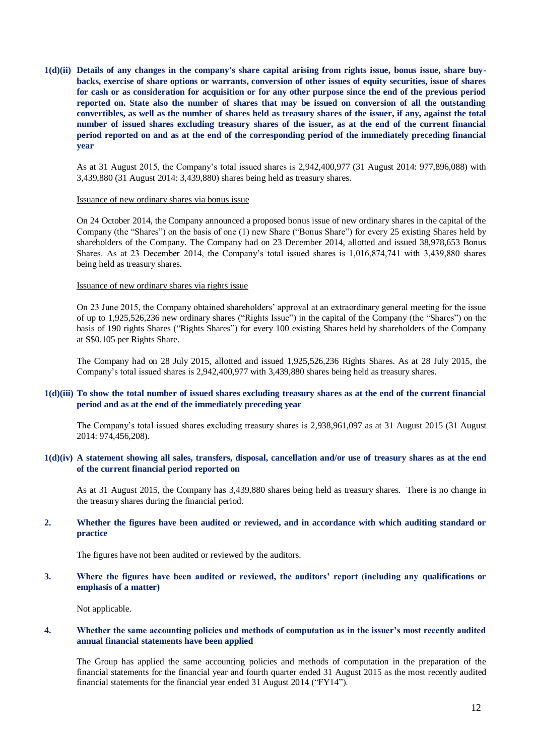**1(d)(ii) Details of any changes in the company's share capital arising from rights issue, bonus issue, share buybacks, exercise of share options or warrants, conversion of other issues of equity securities, issue of shares for cash or as consideration for acquisition or for any other purpose since the end of the previous period reported on. State also the number of shares that may be issued on conversion of all the outstanding convertibles, as well as the number of shares held as treasury shares of the issuer, if any, against the total number of issued shares excluding treasury shares of the issuer, as at the end of the current financial period reported on and as at the end of the corresponding period of the immediately preceding financial year**

As at 31 August 2015, the Company's total issued shares is 2,942,400,977 (31 August 2014: 977,896,088) with 3,439,880 (31 August 2014: 3,439,880) shares being held as treasury shares.

#### Issuance of new ordinary shares via bonus issue

On 24 October 2014, the Company announced a proposed bonus issue of new ordinary shares in the capital of the Company (the "Shares") on the basis of one (1) new Share ("Bonus Share") for every 25 existing Shares held by shareholders of the Company. The Company had on 23 December 2014, allotted and issued 38,978,653 Bonus Shares. As at 23 December 2014, the Company's total issued shares is 1,016,874,741 with 3,439,880 shares being held as treasury shares.

#### Issuance of new ordinary shares via rights issue

On 23 June 2015, the Company obtained shareholders' approval at an extraordinary general meeting for the issue of up to 1,925,526,236 new ordinary shares ("Rights Issue") in the capital of the Company (the "Shares") on the basis of 190 rights Shares ("Rights Shares") for every 100 existing Shares held by shareholders of the Company at S\$0.105 per Rights Share.

The Company had on 28 July 2015, allotted and issued 1,925,526,236 Rights Shares. As at 28 July 2015, the Company's total issued shares is 2,942,400,977 with 3,439,880 shares being held as treasury shares.

### **1(d)(iii) To show the total number of issued shares excluding treasury shares as at the end of the current financial period and as at the end of the immediately preceding year**

The Company's total issued shares excluding treasury shares is 2,938,961,097 as at 31 August 2015 (31 August 2014: 974,456,208).

### **1(d)(iv) A statement showing all sales, transfers, disposal, cancellation and/or use of treasury shares as at the end of the current financial period reported on**

As at 31 August 2015, the Company has 3,439,880 shares being held as treasury shares. There is no change in the treasury shares during the financial period.

### **2. Whether the figures have been audited or reviewed, and in accordance with which auditing standard or practice**

The figures have not been audited or reviewed by the auditors.

#### **3. Where the figures have been audited or reviewed, the auditors' report (including any qualifications or emphasis of a matter)**

Not applicable.

#### **4. Whether the same accounting policies and methods of computation as in the issuer's most recently audited annual financial statements have been applied**

The Group has applied the same accounting policies and methods of computation in the preparation of the financial statements for the financial year and fourth quarter ended 31 August 2015 as the most recently audited financial statements for the financial year ended 31 August 2014 ("FY14").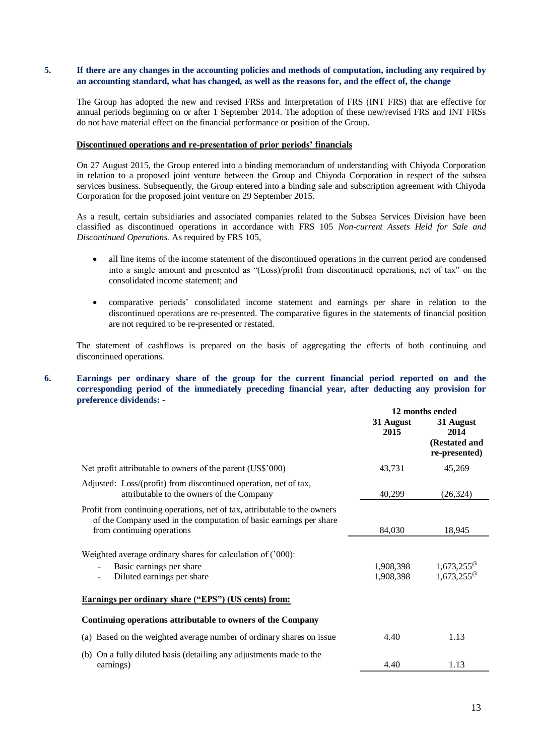### **5. If there are any changes in the accounting policies and methods of computation, including any required by an accounting standard, what has changed, as well as the reasons for, and the effect of, the change**

The Group has adopted the new and revised FRSs and Interpretation of FRS (INT FRS) that are effective for annual periods beginning on or after 1 September 2014. The adoption of these new/revised FRS and INT FRSs do not have material effect on the financial performance or position of the Group.

#### **Discontinued operations and re-presentation of prior periods' financials**

On 27 August 2015, the Group entered into a binding memorandum of understanding with Chiyoda Corporation in relation to a proposed joint venture between the Group and Chiyoda Corporation in respect of the subsea services business. Subsequently, the Group entered into a binding sale and subscription agreement with Chiyoda Corporation for the proposed joint venture on 29 September 2015.

As a result, certain subsidiaries and associated companies related to the Subsea Services Division have been classified as discontinued operations in accordance with FRS 105 *[Non-current Assets Held for Sale and](http://www.asc.gov.sg/2014Volume)  [Discontinued Operations.](http://www.asc.gov.sg/2014Volume)* As required by FRS 105,

- all line items of the income statement of the discontinued operations in the current period are condensed into a single amount and presented as "(Loss)/profit from discontinued operations, net of tax" on the consolidated income statement; and
- comparative periods' consolidated income statement and earnings per share in relation to the discontinued operations are re-presented. The comparative figures in the statements of financial position are not required to be re-presented or restated.

The statement of cashflows is prepared on the basis of aggregating the effects of both continuing and discontinued operations.

**6. Earnings per ordinary share of the group for the current financial period reported on and the corresponding period of the immediately preceding financial year, after deducting any provision for preference dividends: -**

|                                                                                                                                                                               | 12 months ended        |                                                     |
|-------------------------------------------------------------------------------------------------------------------------------------------------------------------------------|------------------------|-----------------------------------------------------|
|                                                                                                                                                                               | 31 August<br>2015      | 31 August<br>2014<br>(Restated and<br>re-presented) |
| Net profit attributable to owners of the parent (US\$'000)                                                                                                                    | 43,731                 | 45,269                                              |
| Adjusted: Loss/(profit) from discontinued operation, net of tax,<br>attributable to the owners of the Company                                                                 | 40,299                 | (26, 324)                                           |
| Profit from continuing operations, net of tax, attributable to the owners<br>of the Company used in the computation of basic earnings per share<br>from continuing operations | 84,030                 | 18,945                                              |
| Weighted average ordinary shares for calculation of ('000):<br>Basic earnings per share<br>Diluted earnings per share<br>$\overline{\phantom{a}}$                             | 1,908,398<br>1,908,398 | $1,673,255^{\circ}$<br>1,673,255 <sup>\code</sup>   |
| <b>Earnings per ordinary share ("EPS") (US cents) from:</b>                                                                                                                   |                        |                                                     |
| Continuing operations attributable to owners of the Company                                                                                                                   |                        |                                                     |
| (a) Based on the weighted average number of ordinary shares on issue                                                                                                          | 4.40                   | 1.13                                                |
| On a fully diluted basis (detailing any adjustments made to the<br>(b)<br>earnings)                                                                                           | 4.40                   | 1.13                                                |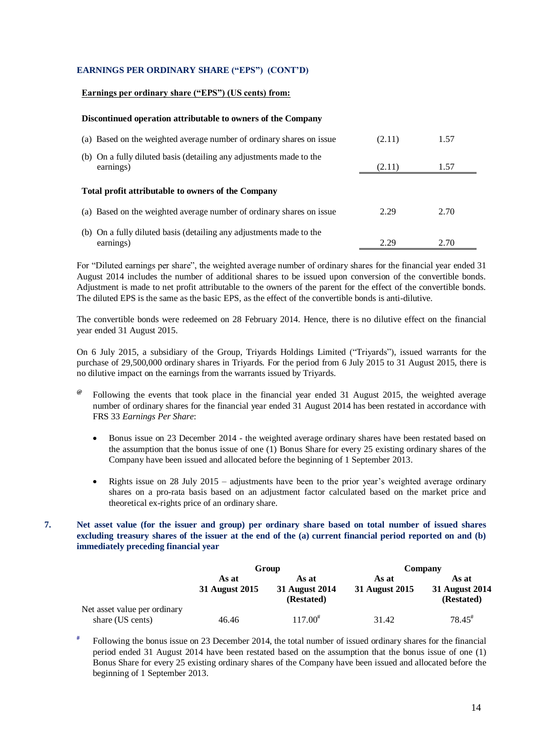# **EARNINGS PER ORDINARY SHARE ("EPS") (CONT'D)**

# **Earnings per ordinary share ("EPS") (US cents) from:**

#### **Discontinued operation attributable to owners of the Company**

| (a) Based on the weighted average number of ordinary shares on issue             | (2.11) | 1.57 |
|----------------------------------------------------------------------------------|--------|------|
| (b) On a fully diluted basis (detailing any adjustments made to the<br>earnings) | (2.11) | 1.57 |
| <b>Total profit attributable to owners of the Company</b>                        |        |      |
| (a) Based on the weighted average number of ordinary shares on issue             | 2.29   | 2.70 |
| (b) On a fully diluted basis (detailing any adjustments made to the<br>earnings) | 2.29   | 2.70 |

For "Diluted earnings per share", the weighted average number of ordinary shares for the financial year ended 31 August 2014 includes the number of additional shares to be issued upon conversion of the convertible bonds. Adjustment is made to net profit attributable to the owners of the parent for the effect of the convertible bonds. The diluted EPS is the same as the basic EPS, as the effect of the convertible bonds is anti-dilutive.

The convertible bonds were redeemed on 28 February 2014. Hence, there is no dilutive effect on the financial year ended 31 August 2015.

On 6 July 2015, a subsidiary of the Group, Triyards Holdings Limited ("Triyards"), issued warrants for the purchase of 29,500,000 ordinary shares in Triyards. For the period from 6 July 2015 to 31 August 2015, there is no dilutive impact on the earnings from the warrants issued by Triyards.

- **@** Following the events that took place in the financial year ended 31 August 2015, the weighted average number of ordinary shares for the financial year ended 31 August 2014 has been restated in accordance with FRS 33 *Earnings Per Share*:
	- Bonus issue on 23 December 2014 the weighted average ordinary shares have been restated based on the assumption that the bonus issue of one (1) Bonus Share for every 25 existing ordinary shares of the Company have been issued and allocated before the beginning of 1 September 2013.
	- Rights issue on 28 July 2015 adjustments have been to the prior year's weighted average ordinary shares on a pro-rata basis based on an adjustment factor calculated based on the market price and theoretical ex-rights price of an ordinary share.
- **7. Net asset value (for the issuer and group) per ordinary share based on total number of issued shares excluding treasury shares of the issuer at the end of the (a) current financial period reported on and (b) immediately preceding financial year**

|                                                  | Group          |                              | Company        |                              |
|--------------------------------------------------|----------------|------------------------------|----------------|------------------------------|
|                                                  | As at          | As at                        | As at          | As at                        |
|                                                  | 31 August 2015 | 31 August 2014<br>(Restated) | 31 August 2015 | 31 August 2014<br>(Restated) |
| Net asset value per ordinary<br>share (US cents) | 46.46          | $117.00^{#}$                 | 31.42          | $78.45^{\text{*}}$           |

**#** Following the bonus issue on 23 December 2014, the total number of issued ordinary shares for the financial period ended 31 August 2014 have been restated based on the assumption that the bonus issue of one (1) Bonus Share for every 25 existing ordinary shares of the Company have been issued and allocated before the beginning of 1 September 2013.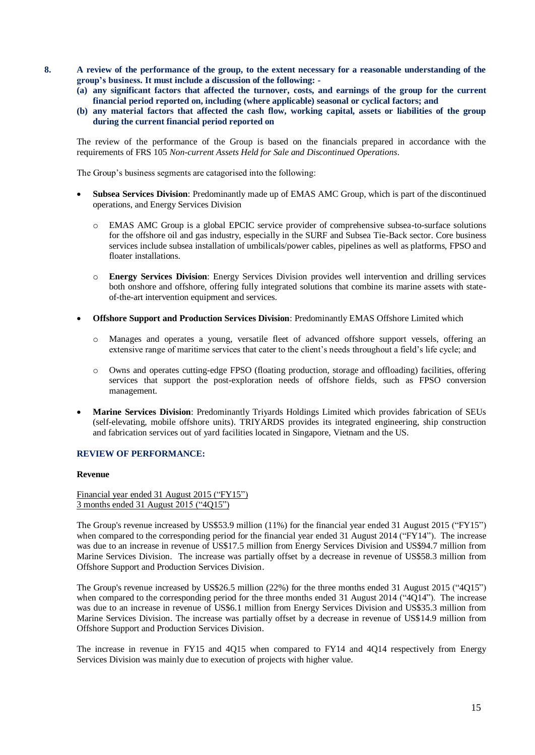- **8. A review of the performance of the group, to the extent necessary for a reasonable understanding of the group's business. It must include a discussion of the following: -**
	- **(a) any significant factors that affected the turnover, costs, and earnings of the group for the current financial period reported on, including (where applicable) seasonal or cyclical factors; and**
	- **(b) any material factors that affected the cash flow, working capital, assets or liabilities of the group during the current financial period reported on**

The review of the performance of the Group is based on the financials prepared in accordance with the requirements of FRS 105 *[Non-current Assets Held for Sale and Discontinued Operations.](http://www.asc.gov.sg/2014Volume)*

The Group's business segments are catagorised into the following:

- **Subsea Services Division**: Predominantly made up of EMAS AMC Group, which is part of the discontinued operations, and Energy Services Division
	- o EMAS AMC Group is a global EPCIC service provider of comprehensive subsea-to-surface solutions for the offshore oil and gas industry, especially in the SURF and Subsea Tie-Back sector. Core business services include subsea installation of umbilicals/power cables, pipelines as well as platforms, FPSO and floater installations.
	- o **Energy Services Division**: Energy Services Division provides well intervention and drilling services both onshore and offshore, offering fully integrated solutions that combine its marine assets with stateof-the-art intervention equipment and services.
- **Offshore Support and Production Services Division**: Predominantly EMAS Offshore Limited which
	- Manages and operates a young, versatile fleet of advanced offshore support vessels, offering an extensive range of maritime services that cater to the client's needs throughout a field's life cycle; and
	- o Owns and operates cutting-edge FPSO (floating production, storage and offloading) facilities, offering services that support the post-exploration needs of offshore fields, such as FPSO conversion management.
- **Marine Services Division**: Predominantly Triyards Holdings Limited which provides fabrication of SEUs (self-elevating, mobile offshore units). TRIYARDS provides its integrated engineering, ship construction and fabrication services out of yard facilities located in Singapore, Vietnam and the US.

### **REVIEW OF PERFORMANCE:**

#### **Revenue**

Financial year ended 31 August 2015 ("FY15") 3 months ended 31 August 2015 ("4Q15")

The Group's revenue increased by US\$53.9 million (11%) for the financial year ended 31 August 2015 ("FY15") when compared to the corresponding period for the financial year ended 31 August 2014 ("FY14"). The increase was due to an increase in revenue of US\$17.5 million from Energy Services Division and US\$94.7 million from Marine Services Division. The increase was partially offset by a decrease in revenue of US\$58.3 million from Offshore Support and Production Services Division.

The Group's revenue increased by US\$26.5 million (22%) for the three months ended 31 August 2015 ("4Q15") when compared to the corresponding period for the three months ended 31 August 2014 ("4Q14"). The increase was due to an increase in revenue of US\$6.1 million from Energy Services Division and US\$35.3 million from Marine Services Division. The increase was partially offset by a decrease in revenue of US\$14.9 million from Offshore Support and Production Services Division.

The increase in revenue in FY15 and 4Q15 when compared to FY14 and 4Q14 respectively from Energy Services Division was mainly due to execution of projects with higher value.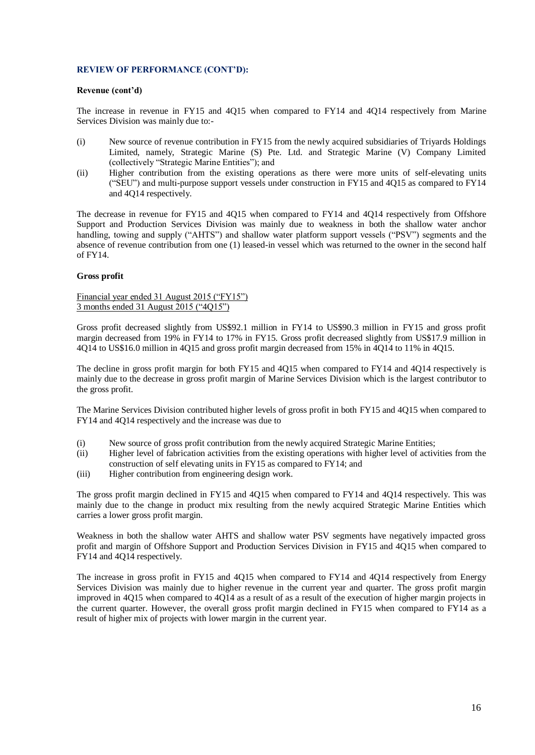#### **Revenue (cont'd)**

The increase in revenue in FY15 and 4Q15 when compared to FY14 and 4Q14 respectively from Marine Services Division was mainly due to:-

- (i) New source of revenue contribution in FY15 from the newly acquired subsidiaries of Triyards Holdings Limited, namely, Strategic Marine (S) Pte. Ltd. and Strategic Marine (V) Company Limited (collectively "Strategic Marine Entities"); and
- (ii) Higher contribution from the existing operations as there were more units of self-elevating units ("SEU") and multi-purpose support vessels under construction in FY15 and 4Q15 as compared to FY14 and 4Q14 respectively.

The decrease in revenue for FY15 and 4Q15 when compared to FY14 and 4Q14 respectively from Offshore Support and Production Services Division was mainly due to weakness in both the shallow water anchor handling, towing and supply ("AHTS") and shallow water platform support vessels ("PSV") segments and the absence of revenue contribution from one (1) leased-in vessel which was returned to the owner in the second half of FY14.

### **Gross profit**

Financial year ended 31 August 2015 ("FY15") 3 months ended 31 August 2015 ("4Q15")

Gross profit decreased slightly from US\$92.1 million in FY14 to US\$90.3 million in FY15 and gross profit margin decreased from 19% in FY14 to 17% in FY15. Gross profit decreased slightly from US\$17.9 million in 4Q14 to US\$16.0 million in 4Q15 and gross profit margin decreased from 15% in 4Q14 to 11% in 4Q15.

The decline in gross profit margin for both FY15 and 4Q15 when compared to FY14 and 4Q14 respectively is mainly due to the decrease in gross profit margin of Marine Services Division which is the largest contributor to the gross profit.

The Marine Services Division contributed higher levels of gross profit in both FY15 and 4Q15 when compared to FY14 and 4Q14 respectively and the increase was due to

- (i) New source of gross profit contribution from the newly acquired Strategic Marine Entities;
- (ii) Higher level of fabrication activities from the existing operations with higher level of activities from the construction of self elevating units in FY15 as compared to FY14; and
- (iii) Higher contribution from engineering design work.

The gross profit margin declined in FY15 and 4Q15 when compared to FY14 and 4Q14 respectively. This was mainly due to the change in product mix resulting from the newly acquired Strategic Marine Entities which carries a lower gross profit margin.

Weakness in both the shallow water AHTS and shallow water PSV segments have negatively impacted gross profit and margin of Offshore Support and Production Services Division in FY15 and 4Q15 when compared to FY14 and 4Q14 respectively.

The increase in gross profit in FY15 and 4Q15 when compared to FY14 and 4Q14 respectively from Energy Services Division was mainly due to higher revenue in the current year and quarter. The gross profit margin improved in 4Q15 when compared to 4Q14 as a result of as a result of the execution of higher margin projects in the current quarter. However, the overall gross profit margin declined in FY15 when compared to FY14 as a result of higher mix of projects with lower margin in the current year.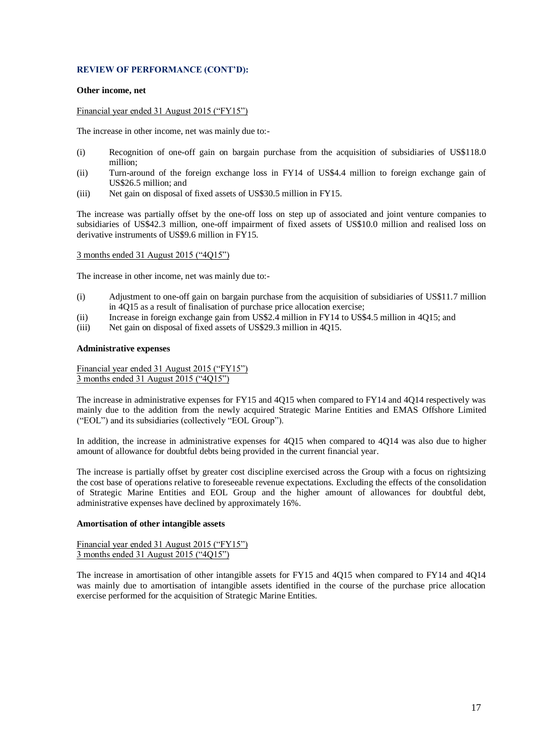#### **Other income, net**

#### Financial year ended 31 August 2015 ("FY15")

The increase in other income, net was mainly due to:-

- (i) Recognition of one-off gain on bargain purchase from the acquisition of subsidiaries of US\$118.0 million;
- (ii) Turn-around of the foreign exchange loss in FY14 of US\$4.4 million to foreign exchange gain of US\$26.5 million; and
- (iii) Net gain on disposal of fixed assets of US\$30.5 million in FY15.

The increase was partially offset by the one-off loss on step up of associated and joint venture companies to subsidiaries of US\$42.3 million, one-off impairment of fixed assets of US\$10.0 million and realised loss on derivative instruments of US\$9.6 million in FY15.

3 months ended 31 August 2015 ("4Q15")

The increase in other income, net was mainly due to:-

- (i) Adjustment to one-off gain on bargain purchase from the acquisition of subsidiaries of US\$11.7 million in 4Q15 as a result of finalisation of purchase price allocation exercise;
- (ii) Increase in foreign exchange gain from US\$2.4 million in FY14 to US\$4.5 million in 4Q15; and
- (iii) Net gain on disposal of fixed assets of US\$29.3 million in 4Q15.

#### **Administrative expenses**

Financial year ended 31 August 2015 ("FY15") 3 months ended 31 August 2015 ("4Q15")

The increase in administrative expenses for FY15 and 4Q15 when compared to FY14 and 4Q14 respectively was mainly due to the addition from the newly acquired Strategic Marine Entities and EMAS Offshore Limited ("EOL") and its subsidiaries (collectively "EOL Group").

In addition, the increase in administrative expenses for 4Q15 when compared to 4Q14 was also due to higher amount of allowance for doubtful debts being provided in the current financial year.

The increase is partially offset by greater cost discipline exercised across the Group with a focus on rightsizing the cost base of operations relative to foreseeable revenue expectations. Excluding the effects of the consolidation of Strategic Marine Entities and EOL Group and the higher amount of allowances for doubtful debt, administrative expenses have declined by approximately 16%.

#### **Amortisation of other intangible assets**

Financial year ended 31 August 2015 ("FY15") 3 months ended 31 August 2015 ("4Q15")

The increase in amortisation of other intangible assets for FY15 and 4Q15 when compared to FY14 and 4Q14 was mainly due to amortisation of intangible assets identified in the course of the purchase price allocation exercise performed for the acquisition of Strategic Marine Entities.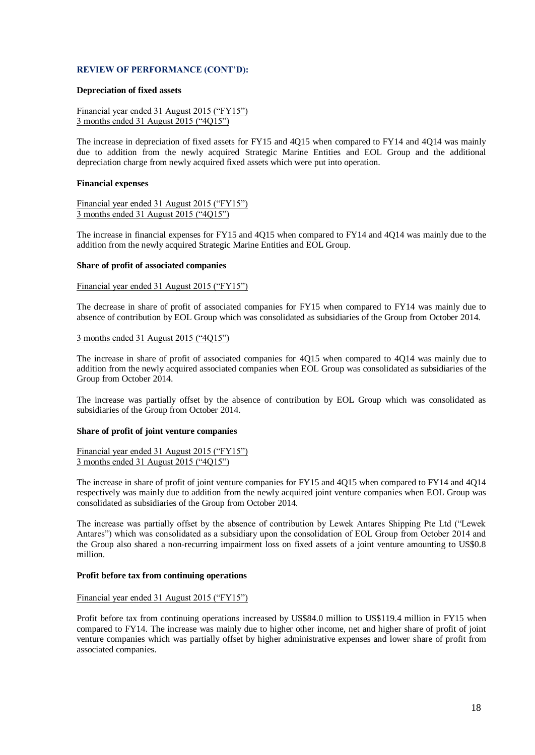#### **Depreciation of fixed assets**

Financial year ended 31 August 2015 ("FY15") 3 months ended 31 August 2015 ("4Q15")

The increase in depreciation of fixed assets for FY15 and 4Q15 when compared to FY14 and 4Q14 was mainly due to addition from the newly acquired Strategic Marine Entities and EOL Group and the additional depreciation charge from newly acquired fixed assets which were put into operation.

#### **Financial expenses**

Financial year ended 31 August 2015 ("FY15") 3 months ended 31 August 2015 ("4Q15")

The increase in financial expenses for FY15 and 4Q15 when compared to FY14 and 4Q14 was mainly due to the addition from the newly acquired Strategic Marine Entities and EOL Group.

#### **Share of profit of associated companies**

Financial year ended 31 August 2015 ("FY15")

The decrease in share of profit of associated companies for FY15 when compared to FY14 was mainly due to absence of contribution by EOL Group which was consolidated as subsidiaries of the Group from October 2014.

#### 3 months ended 31 August 2015 ("4Q15")

The increase in share of profit of associated companies for 4Q15 when compared to 4Q14 was mainly due to addition from the newly acquired associated companies when EOL Group was consolidated as subsidiaries of the Group from October 2014.

The increase was partially offset by the absence of contribution by EOL Group which was consolidated as subsidiaries of the Group from October 2014.

#### **Share of profit of joint venture companies**

Financial year ended 31 August 2015 ("FY15") 3 months ended 31 August 2015 ("4Q15")

The increase in share of profit of joint venture companies for FY15 and 4Q15 when compared to FY14 and 4Q14 respectively was mainly due to addition from the newly acquired joint venture companies when EOL Group was consolidated as subsidiaries of the Group from October 2014.

The increase was partially offset by the absence of contribution by Lewek Antares Shipping Pte Ltd ("Lewek Antares") which was consolidated as a subsidiary upon the consolidation of EOL Group from October 2014 and the Group also shared a non-recurring impairment loss on fixed assets of a joint venture amounting to US\$0.8 million.

#### **Profit before tax from continuing operations**

#### Financial year ended 31 August 2015 ("FY15")

Profit before tax from continuing operations increased by US\$84.0 million to US\$119.4 million in FY15 when compared to FY14. The increase was mainly due to higher other income, net and higher share of profit of joint venture companies which was partially offset by higher administrative expenses and lower share of profit from associated companies.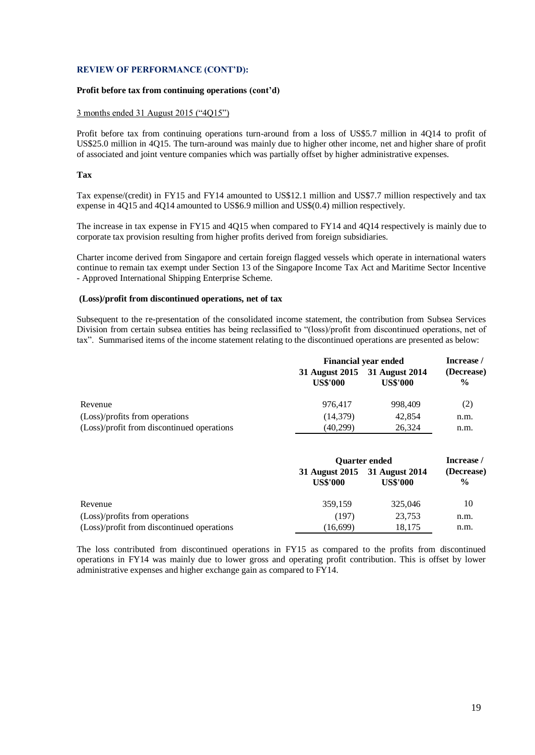#### **Profit before tax from continuing operations (cont'd)**

#### 3 months ended 31 August 2015 ("4Q15")

Profit before tax from continuing operations turn-around from a loss of US\$5.7 million in 4Q14 to profit of US\$25.0 million in 4Q15. The turn-around was mainly due to higher other income, net and higher share of profit of associated and joint venture companies which was partially offset by higher administrative expenses.

#### **Tax**

Tax expense/(credit) in FY15 and FY14 amounted to US\$12.1 million and US\$7.7 million respectively and tax expense in 4Q15 and 4Q14 amounted to US\$6.9 million and US\$(0.4) million respectively.

The increase in tax expense in FY15 and 4Q15 when compared to FY14 and 4Q14 respectively is mainly due to corporate tax provision resulting from higher profits derived from foreign subsidiaries.

Charter income derived from Singapore and certain foreign flagged vessels which operate in international waters continue to remain tax exempt under Section 13 of the Singapore Income Tax Act and Maritime Sector Incentive - Approved International Shipping Enterprise Scheme.

#### **(Loss)/profit from discontinued operations, net of tax**

Subsequent to the re-presentation of the consolidated income statement, the contribution from Subsea Services Division from certain subsea entities has being reclassified to "(loss)/profit from discontinued operations, net of tax". Summarised items of the income statement relating to the discontinued operations are presented as below:

|                                            | <b>Financial year ended</b> |                                                  | Increase /                  |  |
|--------------------------------------------|-----------------------------|--------------------------------------------------|-----------------------------|--|
|                                            | <b>US\$'000</b>             | 31 August 2015 31 August 2014<br><b>US\$'000</b> | (Decrease)<br>$\frac{0}{0}$ |  |
| Revenue                                    | 976.417                     | 998,409                                          | (2)                         |  |
| (Loss)/profits from operations             | (14, 379)                   | 42.854                                           | n.m.                        |  |
| (Loss)/profit from discontinued operations | (40, 299)                   | 26.324                                           | n.m.                        |  |

|                                            | <b>Ouarter ended</b>                             |                 | Increase /                  |  |
|--------------------------------------------|--------------------------------------------------|-----------------|-----------------------------|--|
|                                            | 31 August 2015 31 August 2014<br><b>US\$'000</b> | <b>US\$'000</b> | (Decrease)<br>$\frac{6}{9}$ |  |
| Revenue                                    | 359,159                                          | 325,046         | 10                          |  |
| (Loss)/profits from operations             | (197)                                            | 23.753          | n.m.                        |  |
| (Loss)/profit from discontinued operations | (16,699)                                         | 18,175          | n.m.                        |  |

The loss contributed from discontinued operations in FY15 as compared to the profits from discontinued operations in FY14 was mainly due to lower gross and operating profit contribution. This is offset by lower administrative expenses and higher exchange gain as compared to FY14.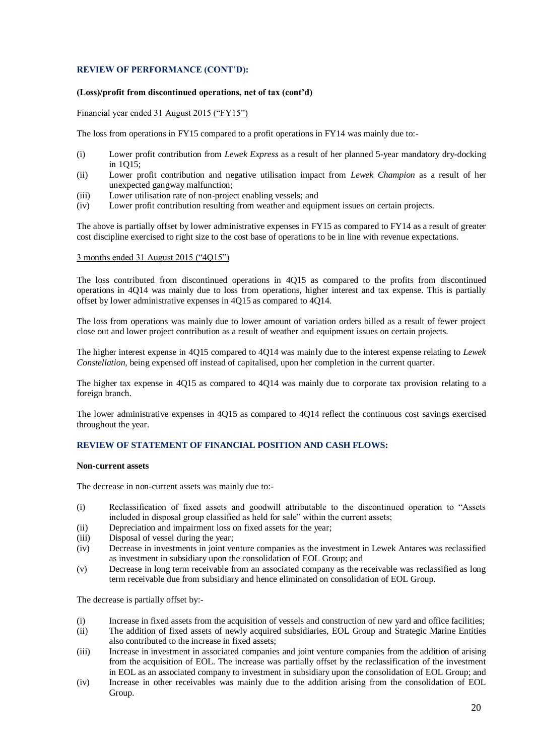#### **(Loss)/profit from discontinued operations, net of tax (cont'd)**

# Financial year ended 31 August 2015 ("FY15")

The loss from operations in FY15 compared to a profit operations in FY14 was mainly due to:-

- (i) Lower profit contribution from *Lewek Express* as a result of her planned 5-year mandatory dry-docking in 1Q15;
- (ii) Lower profit contribution and negative utilisation impact from *Lewek Champion* as a result of her unexpected gangway malfunction;
- (iii) Lower utilisation rate of non-project enabling vessels; and
- (iv) Lower profit contribution resulting from weather and equipment issues on certain projects.

The above is partially offset by lower administrative expenses in FY15 as compared to FY14 as a result of greater cost discipline exercised to right size to the cost base of operations to be in line with revenue expectations.

#### 3 months ended 31 August 2015 ("4Q15")

The loss contributed from discontinued operations in 4Q15 as compared to the profits from discontinued operations in 4Q14 was mainly due to loss from operations, higher interest and tax expense. This is partially offset by lower administrative expenses in 4Q15 as compared to 4Q14.

The loss from operations was mainly due to lower amount of variation orders billed as a result of fewer project close out and lower project contribution as a result of weather and equipment issues on certain projects.

The higher interest expense in 4Q15 compared to 4Q14 was mainly due to the interest expense relating to *Lewek Constellation,* being expensed off instead of capitalised, upon her completion in the current quarter.

The higher tax expense in 4Q15 as compared to 4Q14 was mainly due to corporate tax provision relating to a foreign branch.

The lower administrative expenses in 4Q15 as compared to 4Q14 reflect the continuous cost savings exercised throughout the year.

### **REVIEW OF STATEMENT OF FINANCIAL POSITION AND CASH FLOWS:**

#### **Non-current assets**

The decrease in non-current assets was mainly due to:-

- (i) Reclassification of fixed assets and goodwill attributable to the discontinued operation to "Assets included in disposal group classified as held for sale" within the current assets;
- (ii) Depreciation and impairment loss on fixed assets for the year;
- (iii) Disposal of vessel during the year;
- (iv) Decrease in investments in joint venture companies as the investment in Lewek Antares was reclassified as investment in subsidiary upon the consolidation of EOL Group; and
- (v) Decrease in long term receivable from an associated company as the receivable was reclassified as long term receivable due from subsidiary and hence eliminated on consolidation of EOL Group.

The decrease is partially offset by:-

- (i) Increase in fixed assets from the acquisition of vessels and construction of new yard and office facilities;
- (ii) The addition of fixed assets of newly acquired subsidiaries, EOL Group and Strategic Marine Entities also contributed to the increase in fixed assets;
- (iii) Increase in investment in associated companies and joint venture companies from the addition of arising from the acquisition of EOL. The increase was partially offset by the reclassification of the investment in EOL as an associated company to investment in subsidiary upon the consolidation of EOL Group; and
- (iv) Increase in other receivables was mainly due to the addition arising from the consolidation of EOL Group.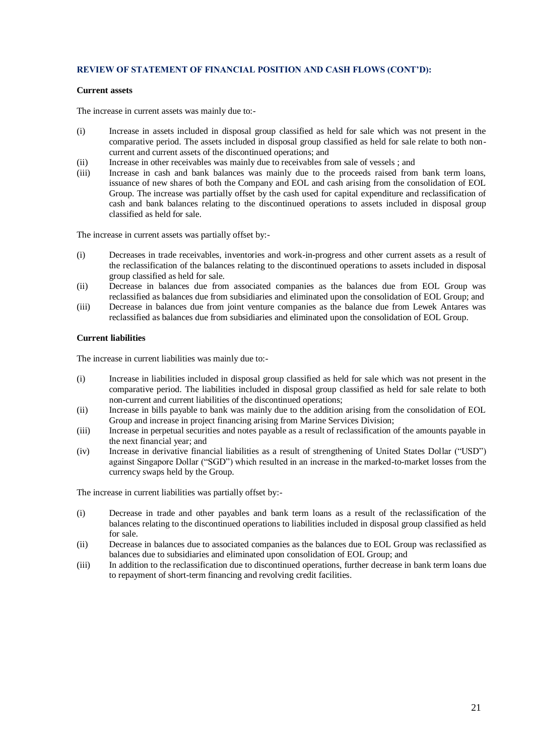#### **Current assets**

The increase in current assets was mainly due to:-

- (i) Increase in assets included in disposal group classified as held for sale which was not present in the comparative period. The assets included in disposal group classified as held for sale relate to both noncurrent and current assets of the discontinued operations; and
- (ii) Increase in other receivables was mainly due to receivables from sale of vessels ; and
- (iii) Increase in cash and bank balances was mainly due to the proceeds raised from bank term loans, issuance of new shares of both the Company and EOL and cash arising from the consolidation of EOL Group. The increase was partially offset by the cash used for capital expenditure and reclassification of cash and bank balances relating to the discontinued operations to assets included in disposal group classified as held for sale.

The increase in current assets was partially offset by:-

- (i) Decreases in trade receivables, inventories and work-in-progress and other current assets as a result of the reclassification of the balances relating to the discontinued operations to assets included in disposal group classified as held for sale.
- (ii) Decrease in balances due from associated companies as the balances due from EOL Group was reclassified as balances due from subsidiaries and eliminated upon the consolidation of EOL Group; and
- (iii) Decrease in balances due from joint venture companies as the balance due from Lewek Antares was reclassified as balances due from subsidiaries and eliminated upon the consolidation of EOL Group.

### **Current liabilities**

The increase in current liabilities was mainly due to:-

- (i) Increase in liabilities included in disposal group classified as held for sale which was not present in the comparative period. The liabilities included in disposal group classified as held for sale relate to both non-current and current liabilities of the discontinued operations;
- (ii) Increase in bills payable to bank was mainly due to the addition arising from the consolidation of EOL Group and increase in project financing arising from Marine Services Division;
- (iii) Increase in perpetual securities and notes payable as a result of reclassification of the amounts payable in the next financial year; and
- (iv) Increase in derivative financial liabilities as a result of strengthening of United States Dollar ("USD") against Singapore Dollar ("SGD") which resulted in an increase in the marked-to-market losses from the currency swaps held by the Group.

The increase in current liabilities was partially offset by:-

- (i) Decrease in trade and other payables and bank term loans as a result of the reclassification of the balances relating to the discontinued operations to liabilities included in disposal group classified as held for sale.
- (ii) Decrease in balances due to associated companies as the balances due to EOL Group was reclassified as balances due to subsidiaries and eliminated upon consolidation of EOL Group; and
- (iii) In addition to the reclassification due to discontinued operations, further decrease in bank term loans due to repayment of short-term financing and revolving credit facilities.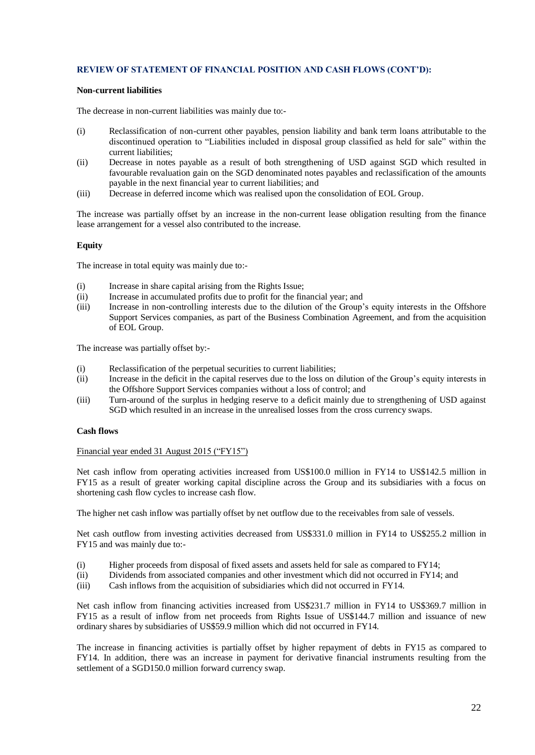#### **Non-current liabilities**

The decrease in non-current liabilities was mainly due to:-

- (i) Reclassification of non-current other payables, pension liability and bank term loans attributable to the discontinued operation to "Liabilities included in disposal group classified as held for sale" within the current liabilities;
- (ii) Decrease in notes payable as a result of both strengthening of USD against SGD which resulted in favourable revaluation gain on the SGD denominated notes payables and reclassification of the amounts payable in the next financial year to current liabilities; and
- (iii) Decrease in deferred income which was realised upon the consolidation of EOL Group.

The increase was partially offset by an increase in the non-current lease obligation resulting from the finance lease arrangement for a vessel also contributed to the increase.

### **Equity**

The increase in total equity was mainly due to:-

- (i) Increase in share capital arising from the Rights Issue;
- (ii) Increase in accumulated profits due to profit for the financial year; and
- (iii) Increase in non-controlling interests due to the dilution of the Group's equity interests in the Offshore Support Services companies, as part of the Business Combination Agreement, and from the acquisition of EOL Group.

The increase was partially offset by:-

- (i) Reclassification of the perpetual securities to current liabilities;
- (ii) Increase in the deficit in the capital reserves due to the loss on dilution of the Group's equity interests in the Offshore Support Services companies without a loss of control; and
- (iii) Turn-around of the surplus in hedging reserve to a deficit mainly due to strengthening of USD against SGD which resulted in an increase in the unrealised losses from the cross currency swaps.

### **Cash flows**

#### Financial year ended 31 August 2015 ("FY15")

Net cash inflow from operating activities increased from US\$100.0 million in FY14 to US\$142.5 million in FY15 as a result of greater working capital discipline across the Group and its subsidiaries with a focus on shortening cash flow cycles to increase cash flow.

The higher net cash inflow was partially offset by net outflow due to the receivables from sale of vessels.

Net cash outflow from investing activities decreased from US\$331.0 million in FY14 to US\$255.2 million in FY15 and was mainly due to:-

- (i) Higher proceeds from disposal of fixed assets and assets held for sale as compared to FY14;
- (ii) Dividends from associated companies and other investment which did not occurred in FY14; and
- (iii) Cash inflows from the acquisition of subsidiaries which did not occurred in FY14.

Net cash inflow from financing activities increased from US\$231.7 million in FY14 to US\$369.7 million in FY15 as a result of inflow from net proceeds from Rights Issue of US\$144.7 million and issuance of new ordinary shares by subsidiaries of US\$59.9 million which did not occurred in FY14.

The increase in financing activities is partially offset by higher repayment of debts in FY15 as compared to FY14. In addition, there was an increase in payment for derivative financial instruments resulting from the settlement of a SGD150.0 million forward currency swap.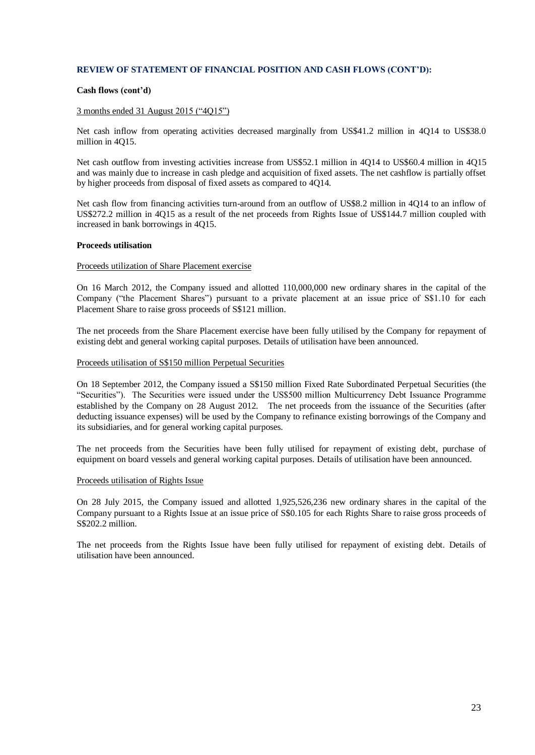#### **Cash flows (cont'd)**

#### 3 months ended 31 August 2015 ("4Q15")

Net cash inflow from operating activities decreased marginally from US\$41.2 million in 4Q14 to US\$38.0 million in 4Q15.

Net cash outflow from investing activities increase from US\$52.1 million in 4Q14 to US\$60.4 million in 4Q15 and was mainly due to increase in cash pledge and acquisition of fixed assets. The net cashflow is partially offset by higher proceeds from disposal of fixed assets as compared to 4Q14.

Net cash flow from financing activities turn-around from an outflow of US\$8.2 million in 4Q14 to an inflow of US\$272.2 million in 4Q15 as a result of the net proceeds from Rights Issue of US\$144.7 million coupled with increased in bank borrowings in 4Q15.

#### **Proceeds utilisation**

#### Proceeds utilization of Share Placement exercise

On 16 March 2012, the Company issued and allotted 110,000,000 new ordinary shares in the capital of the Company ("the Placement Shares") pursuant to a private placement at an issue price of S\$1.10 for each Placement Share to raise gross proceeds of S\$121 million.

The net proceeds from the Share Placement exercise have been fully utilised by the Company for repayment of existing debt and general working capital purposes. Details of utilisation have been announced.

#### Proceeds utilisation of S\$150 million Perpetual Securities

On 18 September 2012, the Company issued a S\$150 million Fixed Rate Subordinated Perpetual Securities (the "Securities"). The Securities were issued under the US\$500 million Multicurrency Debt Issuance Programme established by the Company on 28 August 2012. The net proceeds from the issuance of the Securities (after deducting issuance expenses) will be used by the Company to refinance existing borrowings of the Company and its subsidiaries, and for general working capital purposes.

The net proceeds from the Securities have been fully utilised for repayment of existing debt, purchase of equipment on board vessels and general working capital purposes. Details of utilisation have been announced.

#### Proceeds utilisation of Rights Issue

On 28 July 2015, the Company issued and allotted 1,925,526,236 new ordinary shares in the capital of the Company pursuant to a Rights Issue at an issue price of S\$0.105 for each Rights Share to raise gross proceeds of S\$202.2 million.

The net proceeds from the Rights Issue have been fully utilised for repayment of existing debt. Details of utilisation have been announced.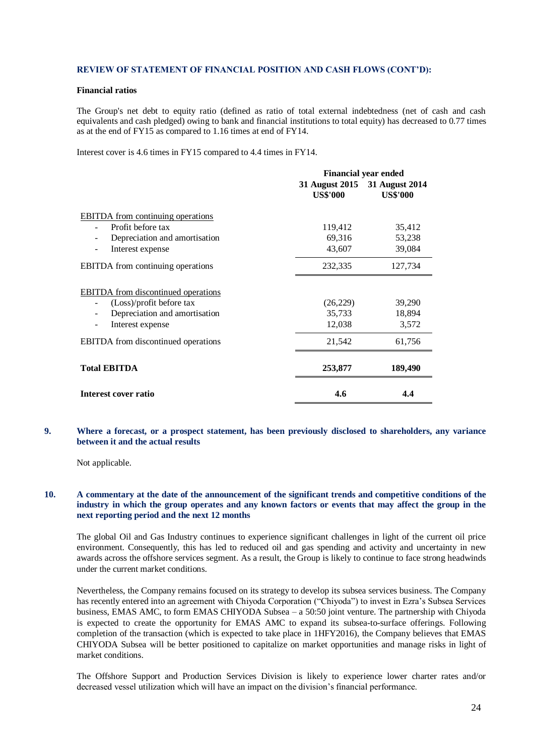#### **Financial ratios**

The Group's net debt to equity ratio (defined as ratio of total external indebtedness (net of cash and cash equivalents and cash pledged) owing to bank and financial institutions to total equity) has decreased to 0.77 times as at the end of FY15 as compared to 1.16 times at end of FY14.

Interest cover is 4.6 times in FY15 compared to 4.4 times in FY14.

|                                                    | <b>Financial year ended</b> |                                                  |  |
|----------------------------------------------------|-----------------------------|--------------------------------------------------|--|
|                                                    | <b>US\$'000</b>             | 31 August 2015 31 August 2014<br><b>US\$'000</b> |  |
| <b>EBITDA</b> from continuing operations           |                             |                                                  |  |
| Profit before tax                                  | 119,412                     | 35,412                                           |  |
| Depreciation and amortisation<br>$\qquad \qquad -$ | 69,316                      | 53,238                                           |  |
| Interest expense                                   | 43,607                      | 39,084                                           |  |
| <b>EBITDA</b> from continuing operations           | 232,335                     | 127,734                                          |  |
| <b>EBITDA</b> from discontinued operations         |                             |                                                  |  |
| (Loss)/profit before tax                           | (26, 229)                   | 39,290                                           |  |
| Depreciation and amortisation                      | 35,733                      | 18,894                                           |  |
| Interest expense                                   | 12,038                      | 3,572                                            |  |
| EBITDA from discontinued operations                | 21,542                      | 61,756                                           |  |
| <b>Total EBITDA</b>                                | 253,877                     | 189,490                                          |  |
| Interest cover ratio                               | 4.6                         | 4.4                                              |  |

#### **9. Where a forecast, or a prospect statement, has been previously disclosed to shareholders, any variance between it and the actual results**

Not applicable.

#### **10. A commentary at the date of the announcement of the significant trends and competitive conditions of the industry in which the group operates and any known factors or events that may affect the group in the next reporting period and the next 12 months**

The global Oil and Gas Industry continues to experience significant challenges in light of the current oil price environment. Consequently, this has led to reduced oil and gas spending and activity and uncertainty in new awards across the offshore services segment. As a result, the Group is likely to continue to face strong headwinds under the current market conditions.

Nevertheless, the Company remains focused on its strategy to develop its subsea services business. The Company has recently entered into an agreement with Chiyoda Corporation ("Chiyoda") to invest in Ezra's Subsea Services business, EMAS AMC, to form EMAS CHIYODA Subsea – a 50:50 joint venture. The partnership with Chiyoda is expected to create the opportunity for EMAS AMC to expand its subsea-to-surface offerings. Following completion of the transaction (which is expected to take place in 1HFY2016), the Company believes that EMAS CHIYODA Subsea will be better positioned to capitalize on market opportunities and manage risks in light of market conditions.

The Offshore Support and Production Services Division is likely to experience lower charter rates and/or decreased vessel utilization which will have an impact on the division's financial performance.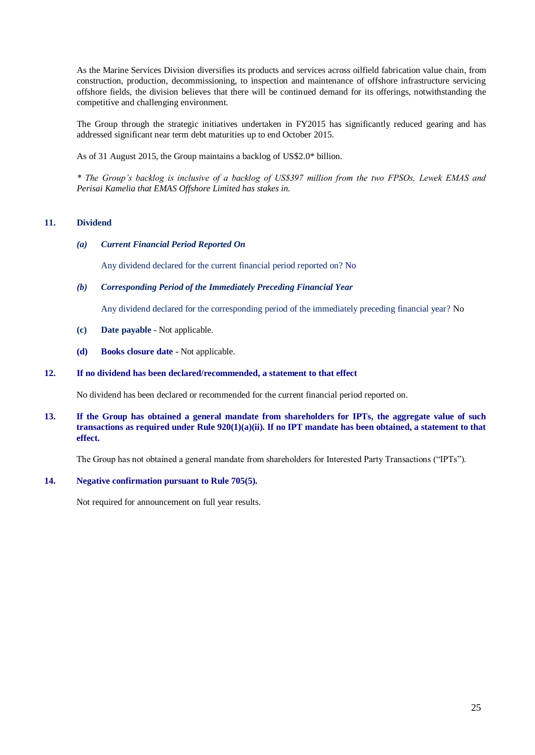As the Marine Services Division diversifies its products and services across oilfield fabrication value chain, from construction, production, decommissioning, to inspection and maintenance of offshore infrastructure servicing offshore fields, the division believes that there will be continued demand for its offerings, notwithstanding the competitive and challenging environment.

The Group through the strategic initiatives undertaken in FY2015 has significantly reduced gearing and has addressed significant near term debt maturities up to end October 2015.

As of 31 August 2015, the Group maintains a backlog of US\$2.0\* billion.

*\* The Group's backlog is inclusive of a backlog of US\$397 million from the two FPSOs, Lewek EMAS and Perisai Kamelia that EMAS Offshore Limited has stakes in.*

# **11. Dividend**

*(a) Current Financial Period Reported On*

Any dividend declared for the current financial period reported on? No

*(b) Corresponding Period of the Immediately Preceding Financial Year*

Any dividend declared for the corresponding period of the immediately preceding financial year? No

- **(c) Date payable -** Not applicable.
- **(d) Books closure date -** Not applicable.

#### **12. If no dividend has been declared/recommended, a statement to that effect**

No dividend has been declared or recommended for the current financial period reported on.

**13. If the Group has obtained a general mandate from shareholders for IPTs, the aggregate value of such transactions as required under Rule 920(1)(a)(ii). If no IPT mandate has been obtained, a statement to that effect.**

The Group has not obtained a general mandate from shareholders for Interested Party Transactions ("IPTs").

# **14. Negative confirmation pursuant to Rule 705(5).**

Not required for announcement on full year results.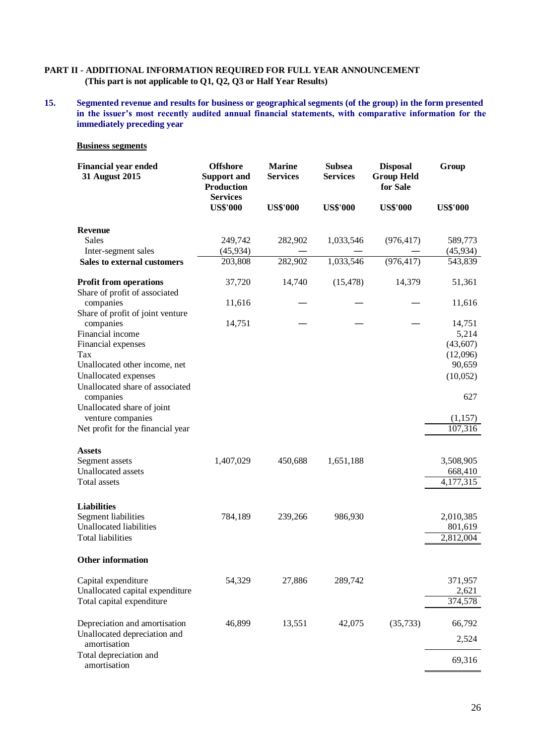# **PART II - ADDITIONAL INFORMATION REQUIRED FOR FULL YEAR ANNOUNCEMENT (This part is not applicable to Q1, Q2, Q3 or Half Year Results)**

**15. Segmented revenue and results for business or geographical segments (of the group) in the form presented in the issuer's most recently audited annual financial statements, with comparative information for the immediately preceding year**

### **Business segments**

| <b>Financial year ended</b><br>31 August 2015           | <b>Offshore</b><br><b>Support and</b><br><b>Production</b><br><b>Services</b> | <b>Marine</b><br><b>Services</b> | <b>Subsea</b><br><b>Services</b> | <b>Disposal</b><br><b>Group Held</b><br>for Sale | Group           |
|---------------------------------------------------------|-------------------------------------------------------------------------------|----------------------------------|----------------------------------|--------------------------------------------------|-----------------|
|                                                         | <b>US\$'000</b>                                                               | <b>US\$'000</b>                  | <b>US\$'000</b>                  | <b>US\$'000</b>                                  | <b>US\$'000</b> |
| <b>Revenue</b>                                          |                                                                               |                                  |                                  |                                                  |                 |
| <b>Sales</b>                                            | 249,742                                                                       | 282,902                          | 1,033,546                        | (976, 417)                                       | 589,773         |
| Inter-segment sales                                     | (45, 934)                                                                     |                                  |                                  |                                                  | (45, 934)       |
| <b>Sales to external customers</b>                      | 203,808                                                                       | 282,902                          | 1,033,546                        | (976, 417)                                       | 543,839         |
| <b>Profit from operations</b>                           | 37,720                                                                        | 14,740                           | (15, 478)                        | 14,379                                           | 51,361          |
| Share of profit of associated                           |                                                                               |                                  |                                  |                                                  |                 |
| companies                                               | 11,616                                                                        |                                  |                                  |                                                  | 11,616          |
| Share of profit of joint venture                        |                                                                               |                                  |                                  |                                                  |                 |
| companies                                               | 14,751                                                                        |                                  |                                  |                                                  | 14,751          |
| Financial income                                        |                                                                               |                                  |                                  |                                                  | 5,214           |
| Financial expenses                                      |                                                                               |                                  |                                  |                                                  | (43,607)        |
| Tax                                                     |                                                                               |                                  |                                  |                                                  | (12,096)        |
| Unallocated other income, net                           |                                                                               |                                  |                                  |                                                  | 90,659          |
| Unallocated expenses<br>Unallocated share of associated |                                                                               |                                  |                                  |                                                  | (10,052)        |
| companies<br>Unallocated share of joint                 |                                                                               |                                  |                                  |                                                  | 627             |
| venture companies                                       |                                                                               |                                  |                                  |                                                  | (1, 157)        |
| Net profit for the financial year                       |                                                                               |                                  |                                  |                                                  | 107,316         |
| <b>Assets</b>                                           |                                                                               |                                  |                                  |                                                  |                 |
| Segment assets                                          | 1,407,029                                                                     | 450,688                          | 1,651,188                        |                                                  | 3,508,905       |
| Unallocated assets                                      |                                                                               |                                  |                                  |                                                  | 668,410         |
| <b>Total assets</b>                                     |                                                                               |                                  |                                  |                                                  | 4,177,315       |
| <b>Liabilities</b>                                      |                                                                               |                                  |                                  |                                                  |                 |
| Segment liabilities                                     | 784,189                                                                       | 239,266                          | 986,930                          |                                                  | 2,010,385       |
| <b>Unallocated liabilities</b>                          |                                                                               |                                  |                                  |                                                  | 801,619         |
| <b>Total liabilities</b>                                |                                                                               |                                  |                                  |                                                  | 2,812,004       |
| <b>Other information</b>                                |                                                                               |                                  |                                  |                                                  |                 |
| Capital expenditure                                     | 54,329                                                                        | 27,886                           | 289,742                          |                                                  | 371,957         |
| Unallocated capital expenditure                         |                                                                               |                                  |                                  |                                                  | 2,621           |
| Total capital expenditure                               |                                                                               |                                  |                                  |                                                  | 374,578         |
| Depreciation and amortisation                           | 46,899                                                                        | 13,551                           | 42,075                           | (35, 733)                                        | 66,792          |
| Unallocated depreciation and                            |                                                                               |                                  |                                  |                                                  | 2,524           |
| amortisation                                            |                                                                               |                                  |                                  |                                                  |                 |
| Total depreciation and<br>amortisation                  |                                                                               |                                  |                                  |                                                  | 69,316          |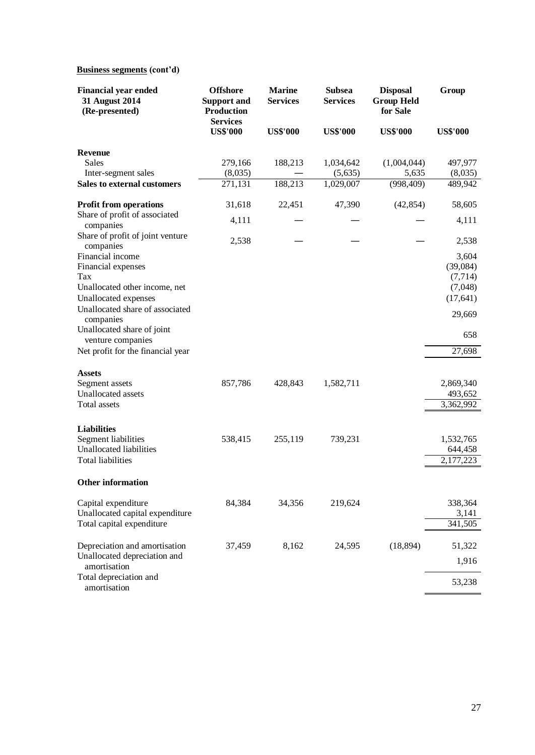# **Business segments (cont'd)**

| <b>Financial year ended</b><br>31 August 2014<br>(Re-presented) | <b>Offshore</b><br><b>Support and</b><br>Production<br><b>Services</b> | <b>Marine</b><br><b>Services</b> | <b>Subsea</b><br><b>Services</b> | <b>Disposal</b><br><b>Group Held</b><br>for Sale | Group           |
|-----------------------------------------------------------------|------------------------------------------------------------------------|----------------------------------|----------------------------------|--------------------------------------------------|-----------------|
|                                                                 | <b>US\$'000</b>                                                        | <b>US\$'000</b>                  | <b>US\$'000</b>                  | <b>US\$'000</b>                                  | <b>US\$'000</b> |
| <b>Revenue</b>                                                  |                                                                        |                                  |                                  |                                                  |                 |
| <b>Sales</b>                                                    | 279,166                                                                | 188,213                          | 1,034,642                        | (1,004,044)                                      | 497,977         |
| Inter-segment sales                                             | (8,035)                                                                |                                  | (5,635)                          | 5,635                                            | (8,035)         |
| <b>Sales to external customers</b>                              | 271,131                                                                | 188,213                          | 1,029,007                        | (998, 409)                                       | 489,942         |
| <b>Profit from operations</b>                                   | 31,618                                                                 | 22,451                           | 47,390                           | (42, 854)                                        | 58,605          |
| Share of profit of associated<br>companies                      | 4,111                                                                  |                                  |                                  |                                                  | 4,111           |
| Share of profit of joint venture<br>companies                   | 2,538                                                                  |                                  |                                  |                                                  | 2,538           |
| Financial income                                                |                                                                        |                                  |                                  |                                                  | 3,604           |
| Financial expenses                                              |                                                                        |                                  |                                  |                                                  | (39,084)        |
| Tax                                                             |                                                                        |                                  |                                  |                                                  | (7, 714)        |
| Unallocated other income, net                                   |                                                                        |                                  |                                  |                                                  | (7,048)         |
| Unallocated expenses<br>Unallocated share of associated         |                                                                        |                                  |                                  |                                                  | (17, 641)       |
| companies                                                       |                                                                        |                                  |                                  |                                                  | 29,669          |
| Unallocated share of joint<br>venture companies                 |                                                                        |                                  |                                  |                                                  | 658             |
| Net profit for the financial year                               |                                                                        |                                  |                                  |                                                  | 27,698          |
| <b>Assets</b>                                                   |                                                                        |                                  |                                  |                                                  |                 |
| Segment assets                                                  | 857,786                                                                | 428,843                          | 1,582,711                        |                                                  | 2,869,340       |
| Unallocated assets                                              |                                                                        |                                  |                                  |                                                  | 493,652         |
| Total assets                                                    |                                                                        |                                  |                                  |                                                  | 3,362,992       |
| <b>Liabilities</b>                                              |                                                                        |                                  |                                  |                                                  |                 |
| Segment liabilities                                             | 538,415                                                                | 255,119                          | 739,231                          |                                                  | 1,532,765       |
| <b>Unallocated liabilities</b>                                  |                                                                        |                                  |                                  |                                                  | 644,458         |
| <b>Total liabilities</b>                                        |                                                                        |                                  |                                  |                                                  | 2,177,223       |
| <b>Other information</b>                                        |                                                                        |                                  |                                  |                                                  |                 |
| Capital expenditure                                             | 84,384                                                                 | 34,356                           | 219,624                          |                                                  | 338,364         |
| Unallocated capital expenditure                                 |                                                                        |                                  |                                  |                                                  | 3,141           |
| Total capital expenditure                                       |                                                                        |                                  |                                  |                                                  | 341,505         |
| Depreciation and amortisation                                   | 37,459                                                                 | 8,162                            | 24,595                           | (18, 894)                                        | 51,322          |
| Unallocated depreciation and                                    |                                                                        |                                  |                                  |                                                  | 1,916           |
| amortisation                                                    |                                                                        |                                  |                                  |                                                  |                 |
| Total depreciation and<br>amortisation                          |                                                                        |                                  |                                  |                                                  | 53,238          |
|                                                                 |                                                                        |                                  |                                  |                                                  |                 |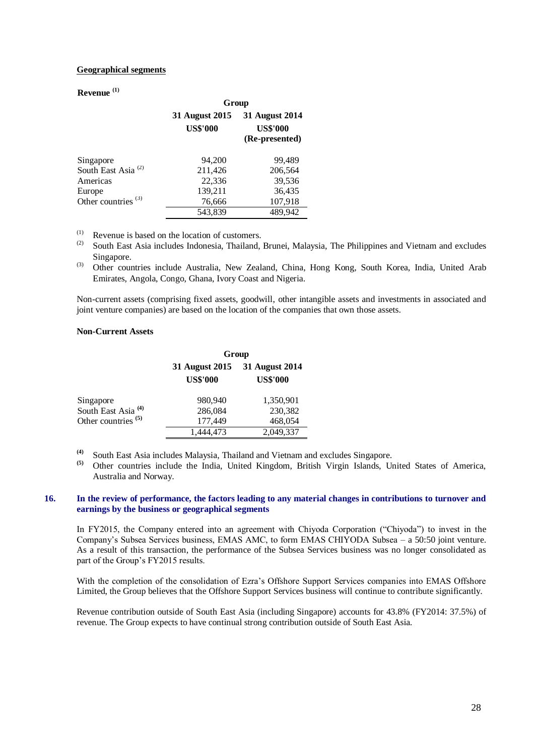#### **Geographical segments**

# **Revenue (1)**

|                                | Group           |                 |
|--------------------------------|-----------------|-----------------|
|                                | 31 August 2015  | 31 August 2014  |
|                                | <b>US\$'000</b> | <b>US\$'000</b> |
|                                |                 | (Re-presented)  |
| Singapore                      | 94,200          | 99,489          |
| South East Asia <sup>(2)</sup> | 211,426         | 206,564         |
| Americas                       | 22,336          | 39,536          |
| Europe                         | 139,211         | 36,435          |
| Other countries $(3)$          | 76,666          | 107,918         |
|                                | 543.839         | 489.942         |

(1) Revenue is based on the location of customers.<br>(2) Senath Fort Asia is deduced a Theories Theories

- (2) South East Asia includes Indonesia, Thailand, Brunei, Malaysia, The Philippines and Vietnam and excludes Singapore.
- (3) Other countries include Australia, New Zealand, China, Hong Kong, South Korea, India, United Arab Emirates, Angola, Congo, Ghana, Ivory Coast and Nigeria.

Non-current assets (comprising fixed assets, goodwill, other intangible assets and investments in associated and joint venture companies) are based on the location of the companies that own those assets.

#### **Non-Current Assets**

|                                | Group                             |                                   |  |
|--------------------------------|-----------------------------------|-----------------------------------|--|
|                                | 31 August 2015<br><b>US\$'000</b> | 31 August 2014<br><b>US\$'000</b> |  |
| Singapore                      | 980.940                           | 1,350,901                         |  |
| South East Asia <sup>(4)</sup> | 286,084                           | 230,382                           |  |
| Other countries <sup>(5)</sup> | 177,449                           | 468,054                           |  |
|                                | 1.444.473                         | 2,049,337                         |  |

**(4)** South East Asia includes Malaysia, Thailand and Vietnam and excludes Singapore.

**(5)** Other countries include the India, United Kingdom, British Virgin Islands, United States of America, Australia and Norway.

### **16. In the review of performance, the factors leading to any material changes in contributions to turnover and earnings by the business or geographical segments**

In FY2015, the Company entered into an agreement with Chiyoda Corporation ("Chiyoda") to invest in the Company's Subsea Services business, EMAS AMC, to form EMAS CHIYODA Subsea – a 50:50 joint venture. As a result of this transaction, the performance of the Subsea Services business was no longer consolidated as part of the Group's FY2015 results.

With the completion of the consolidation of Ezra's Offshore Support Services companies into EMAS Offshore Limited, the Group believes that the Offshore Support Services business will continue to contribute significantly.

Revenue contribution outside of South East Asia (including Singapore) accounts for 43.8% (FY2014: 37.5%) of revenue. The Group expects to have continual strong contribution outside of South East Asia.